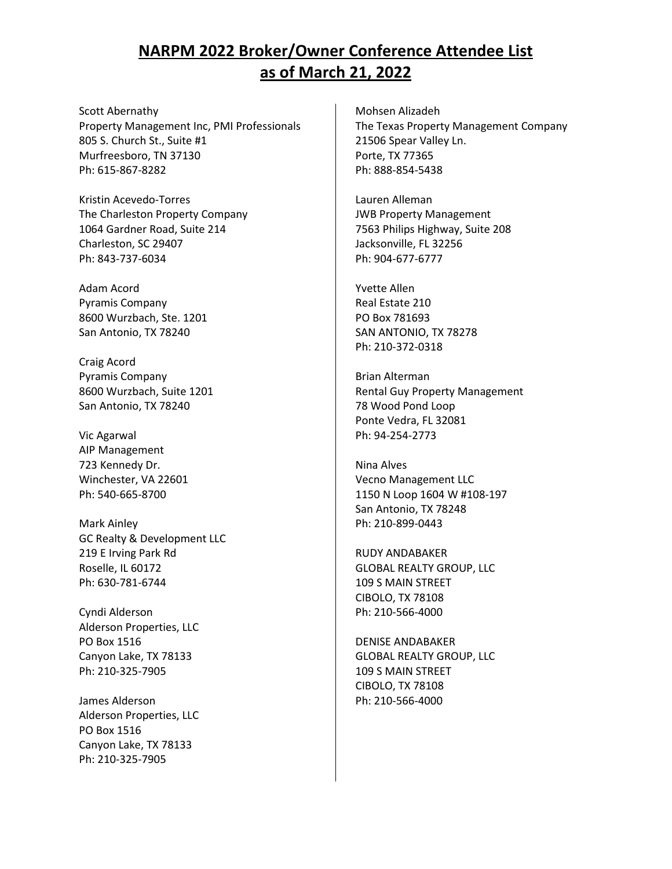Scott Abernathy Property Management Inc, PMI Professionals 805 S. Church St., Suite #1 Murfreesboro, TN 37130 Ph: 615-867-8282

Kristin Acevedo-Torres The Charleston Property Company 1064 Gardner Road, Suite 214 Charleston, SC 29407 Ph: 843-737-6034

Adam Acord Pyramis Company 8600 Wurzbach, Ste. 1201 San Antonio, TX 78240

Craig Acord Pyramis Company 8600 Wurzbach, Suite 1201 San Antonio, TX 78240

Vic Agarwal AIP Management 723 Kennedy Dr. Winchester, VA 22601 Ph: 540-665-8700

Mark Ainley GC Realty & Development LLC 219 E Irving Park Rd Roselle, IL 60172 Ph: 630-781-6744

Cyndi Alderson Alderson Properties, LLC PO Box 1516 Canyon Lake, TX 78133 Ph: 210-325-7905

James Alderson Alderson Properties, LLC PO Box 1516 Canyon Lake, TX 78133 Ph: 210-325-7905

Mohsen Alizadeh The Texas Property Management Company 21506 Spear Valley Ln. Porte, TX 77365 Ph: 888-854-5438

Lauren Alleman JWB Property Management 7563 Philips Highway, Suite 208 Jacksonville, FL 32256 Ph: 904-677-6777

Yvette Allen Real Estate 210 PO Box 781693 SAN ANTONIO, TX 78278 Ph: 210-372-0318

Brian Alterman Rental Guy Property Management 78 Wood Pond Loop Ponte Vedra, FL 32081 Ph: 94-254-2773

Nina Alves Vecno Management LLC 1150 N Loop 1604 W #108-197 San Antonio, TX 78248 Ph: 210-899-0443

RUDY ANDABAKER GLOBAL REALTY GROUP, LLC 109 S MAIN STREET CIBOLO, TX 78108 Ph: 210-566-4000

DENISE ANDABAKER GLOBAL REALTY GROUP, LLC 109 S MAIN STREET CIBOLO, TX 78108 Ph: 210-566-4000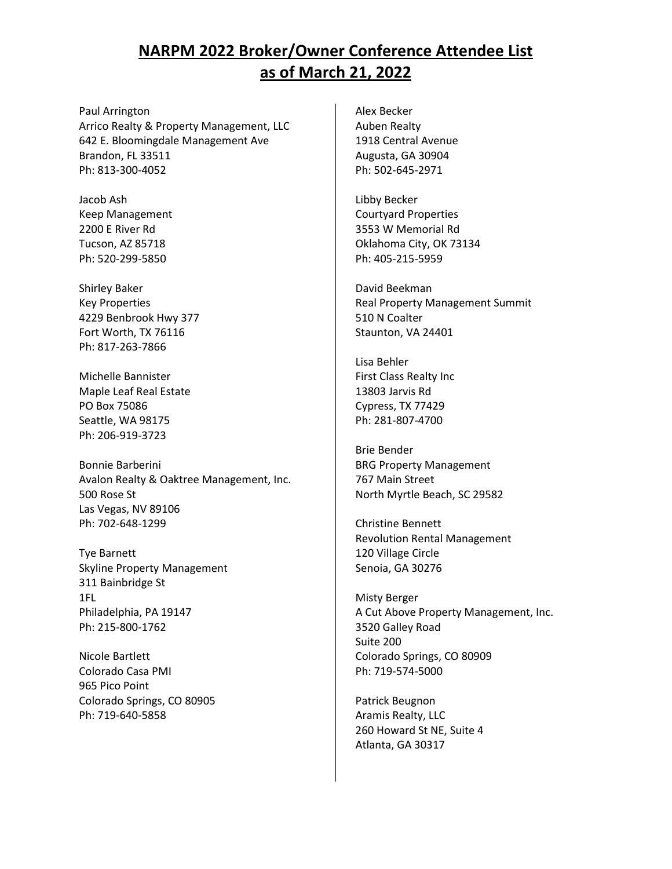Paul Arrington Arrico Realty & Property Management, LLC 642 E. Bloomingdale Management Ave Brandon, FL 33511 Ph: 813-300-4052

Jacob Ash Keep Management 2200 E River Rd Tucson, AZ 85718 Ph: 520-299-5850

Shirley Baker Key Properties 4229 Benbrook Hwy 377 Fort Worth, TX 76116 Ph: 817-263-7866

Michelle Bannister Maple Leaf Real Estate PO Box 75086 Seattle, WA 98175 Ph: 206-919-3723

Bonnie Barberini Avalon Realty & Oaktree Management, Inc. 500 Rose St Las Vegas, NV 89106 Ph: 702-648-1299

Tye Barnett Skyline Property Management 311 Bainbridge St 1FL Philadelphia, PA 19147 Ph: 215-800-1762

Nicole Bartlett Colorado Casa PMI 965 Pico Point Colorado Springs, CO 80905 Ph: 719-640-5858

Alex Becker Auben Realty 1918 Central Avenue Augusta, GA 30904 Ph: 502-645-2971

Libby Becker Courtyard Properties 3553 W Memorial Rd Oklahoma City, OK 73134 Ph: 405-215-5959

David Beekman Real Property Management Summit 510 N Coalter Staunton, VA 24401

Lisa Behler First Class Realty Inc 13803 Jarvis Rd Cypress, TX 77429 Ph: 281-807-4700

Brie Bender BRG Property Management 767 Main Street North Myrtle Beach, SC 29582

Christine Bennett Revolution Rental Management 120 Village Circle Senoia, GA 30276

Misty Berger A Cut Above Property Management, Inc. 3520 Galley Road Suite 200 Colorado Springs, CO 80909 Ph: 719-574-5000

Patrick Beugnon Aramis Realty, LLC 260 Howard St NE, Suite 4 Atlanta, GA 30317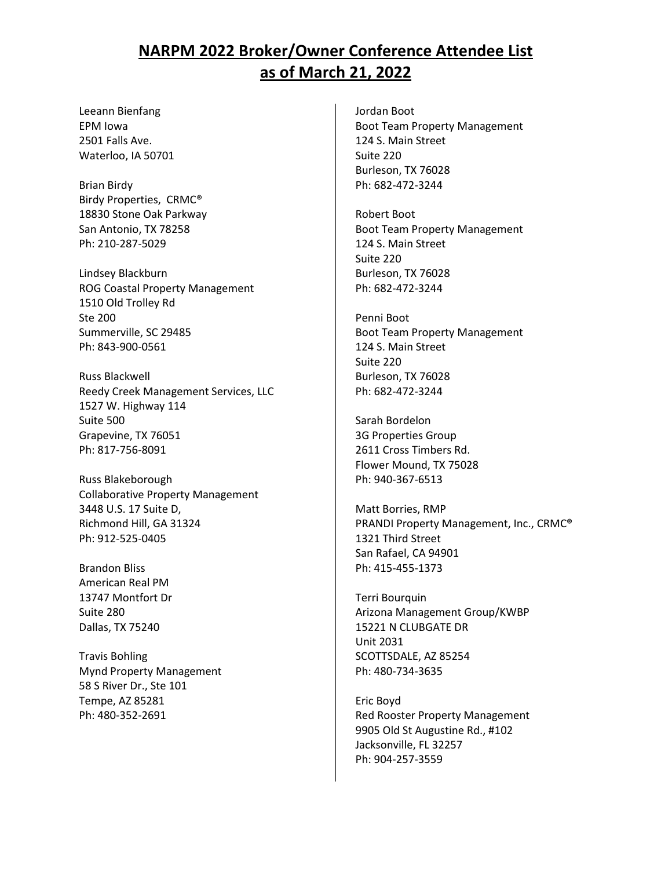Leeann Bienfang EPM Iowa 2501 Falls Ave. Waterloo, IA 50701

Brian Birdy Birdy Properties, CRMC® 18830 Stone Oak Parkway San Antonio, TX 78258 Ph: 210-287-5029

Lindsey Blackburn ROG Coastal Property Management 1510 Old Trolley Rd Ste 200 Summerville, SC 29485 Ph: 843-900-0561

Russ Blackwell Reedy Creek Management Services, LLC 1527 W. Highway 114 Suite 500 Grapevine, TX 76051 Ph: 817-756-8091

Russ Blakeborough Collaborative Property Management 3448 U.S. 17 Suite D, Richmond Hill, GA 31324 Ph: 912-525-0405

Brandon Bliss American Real PM 13747 Montfort Dr Suite 280 Dallas, TX 75240

Travis Bohling Mynd Property Management 58 S River Dr., Ste 101 Tempe, AZ 85281 Ph: 480-352-2691

Jordan Boot Boot Team Property Management 124 S. Main Street Suite 220 Burleson, TX 76028 Ph: 682-472-3244

Robert Boot Boot Team Property Management 124 S. Main Street Suite 220 Burleson, TX 76028 Ph: 682-472-3244

Penni Boot Boot Team Property Management 124 S. Main Street Suite 220 Burleson, TX 76028 Ph: 682-472-3244

Sarah Bordelon 3G Properties Group 2611 Cross Timbers Rd. Flower Mound, TX 75028 Ph: 940-367-6513

Matt Borries, RMP PRANDI Property Management, Inc., CRMC® 1321 Third Street San Rafael, CA 94901 Ph: 415-455-1373

Terri Bourquin Arizona Management Group/KWBP 15221 N CLUBGATE DR Unit 2031 SCOTTSDALE, AZ 85254 Ph: 480-734-3635

Eric Boyd Red Rooster Property Management 9905 Old St Augustine Rd., #102 Jacksonville, FL 32257 Ph: 904-257-3559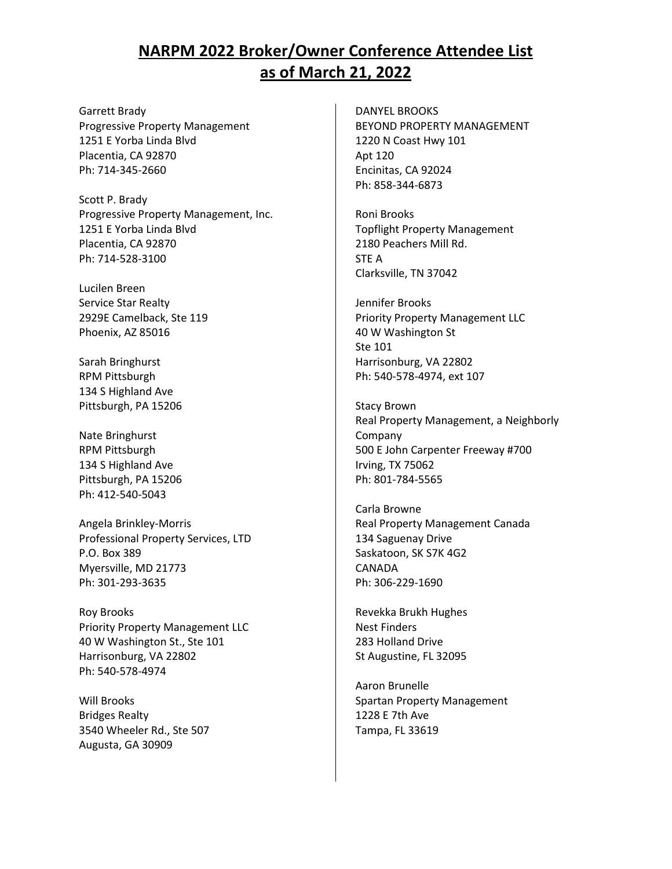Garrett Brady Progressive Property Management 1251 E Yorba Linda Blvd Placentia, CA 92870 Ph: 714-345-2660

Scott P. Brady Progressive Property Management, Inc. 1251 E Yorba Linda Blvd Placentia, CA 92870 Ph: 714-528-3100

Lucilen Breen Service Star Realty 2929E Camelback, Ste 119 Phoenix, AZ 85016

Sarah Bringhurst RPM Pittsburgh 134 S Highland Ave Pittsburgh, PA 15206

Nate Bringhurst RPM Pittsburgh 134 S Highland Ave Pittsburgh, PA 15206 Ph: 412-540-5043

Angela Brinkley-Morris Professional Property Services, LTD P.O. Box 389 Myersville, MD 21773 Ph: 301-293-3635

Roy Brooks Priority Property Management LLC 40 W Washington St., Ste 101 Harrisonburg, VA 22802 Ph: 540-578-4974

Will Brooks Bridges Realty 3540 Wheeler Rd., Ste 507 Augusta, GA 30909

DANYEL BROOKS BEYOND PROPERTY MANAGEMENT 1220 N Coast Hwy 101 Apt 120 Encinitas, CA 92024 Ph: 858-344-6873

Roni Brooks Topflight Property Management 2180 Peachers Mill Rd. STE A Clarksville, TN 37042

Jennifer Brooks Priority Property Management LLC 40 W Washington St Ste 101 Harrisonburg, VA 22802 Ph: 540-578-4974, ext 107

Stacy Brown Real Property Management, a Neighborly Company 500 E John Carpenter Freeway #700 Irving, TX 75062 Ph: 801-784-5565

Carla Browne Real Property Management Canada 134 Saguenay Drive Saskatoon, SK S7K 4G2 CANADA Ph: 306-229-1690

Revekka Brukh Hughes Nest Finders 283 Holland Drive St Augustine, FL 32095

Aaron Brunelle Spartan Property Management 1228 E 7th Ave Tampa, FL 33619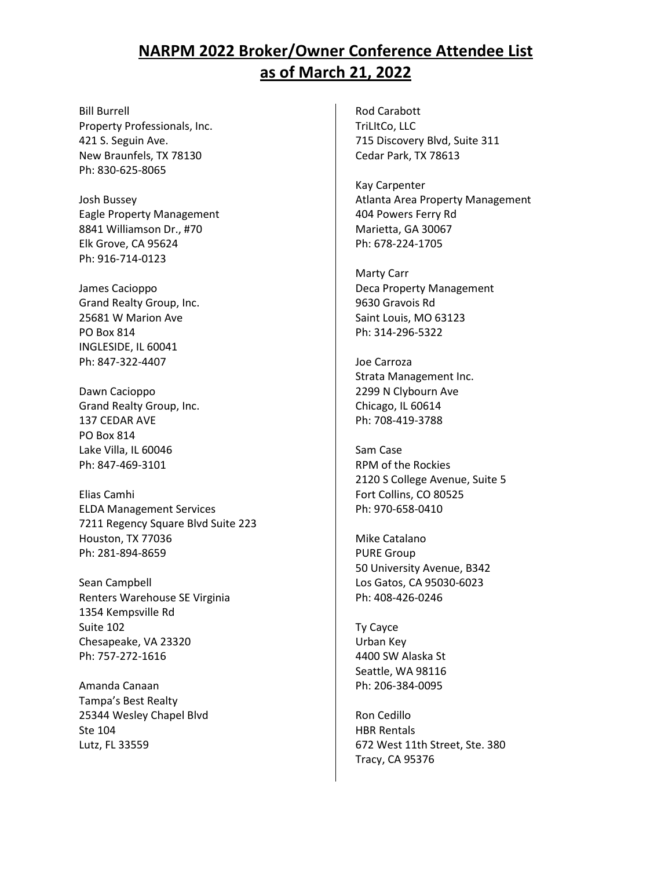Bill Burrell Property Professionals, Inc. 421 S. Seguin Ave. New Braunfels, TX 78130 Ph: 830-625-8065

Josh Bussey Eagle Property Management 8841 Williamson Dr., #70 Elk Grove, CA 95624 Ph: 916-714-0123

James Cacioppo Grand Realty Group, Inc. 25681 W Marion Ave PO Box 814 INGLESIDE, IL 60041 Ph: 847-322-4407

Dawn Cacioppo Grand Realty Group, Inc. 137 CEDAR AVE PO Box 814 Lake Villa, IL 60046 Ph: 847-469-3101

Elias Camhi ELDA Management Services 7211 Regency Square Blvd Suite 223 Houston, TX 77036 Ph: 281-894-8659

Sean Campbell Renters Warehouse SE Virginia 1354 Kempsville Rd Suite 102 Chesapeake, VA 23320 Ph: 757-272-1616

Amanda Canaan Tampa's Best Realty 25344 Wesley Chapel Blvd Ste 104 Lutz, FL 33559

Rod Carabott TriLItCo, LLC 715 Discovery Blvd, Suite 311 Cedar Park, TX 78613

Kay Carpenter Atlanta Area Property Management 404 Powers Ferry Rd Marietta, GA 30067 Ph: 678-224-1705

Marty Carr Deca Property Management 9630 Gravois Rd Saint Louis, MO 63123 Ph: 314-296-5322

Joe Carroza Strata Management Inc. 2299 N Clybourn Ave Chicago, IL 60614 Ph: 708-419-3788

Sam Case RPM of the Rockies 2120 S College Avenue, Suite 5 Fort Collins, CO 80525 Ph: 970-658-0410

Mike Catalano PURE Group 50 University Avenue, B342 Los Gatos, CA 95030-6023 Ph: 408-426-0246

Ty Cayce Urban Key 4400 SW Alaska St Seattle, WA 98116 Ph: 206-384-0095

Ron Cedillo HBR Rentals 672 West 11th Street, Ste. 380 Tracy, CA 95376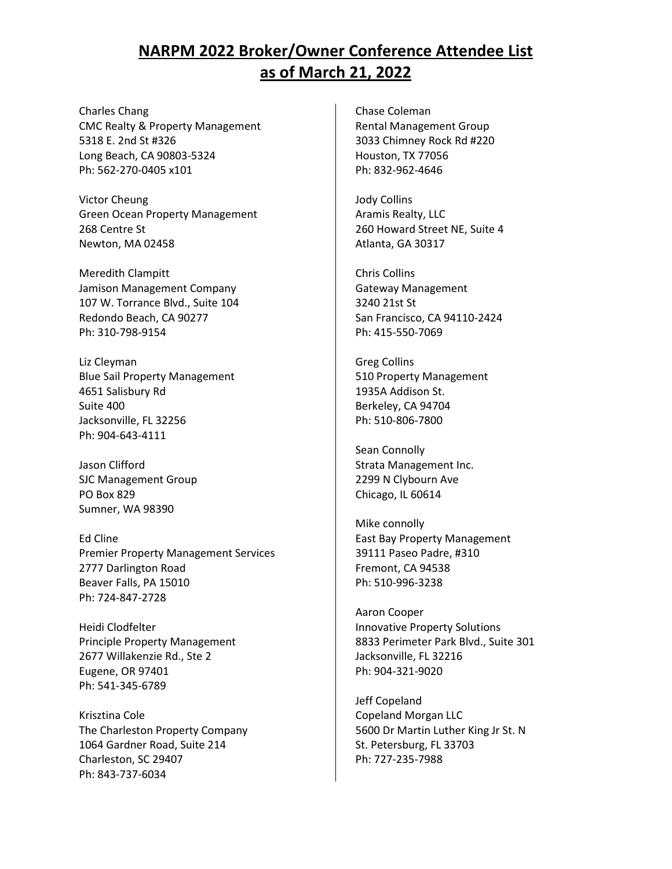Charles Chang CMC Realty & Property Management 5318 E. 2nd St #326 Long Beach, CA 90803-5324 Ph: 562-270-0405 x101

Victor Cheung Green Ocean Property Management 268 Centre St Newton, MA 02458

Meredith Clampitt Jamison Management Company 107 W. Torrance Blvd., Suite 104 Redondo Beach, CA 90277 Ph: 310-798-9154

Liz Cleyman Blue Sail Property Management 4651 Salisbury Rd Suite 400 Jacksonville, FL 32256 Ph: 904-643-4111

Jason Clifford SJC Management Group PO Box 829 Sumner, WA 98390

Ed Cline Premier Property Management Services 2777 Darlington Road Beaver Falls, PA 15010 Ph: 724-847-2728

Heidi Clodfelter Principle Property Management 2677 Willakenzie Rd., Ste 2 Eugene, OR 97401 Ph: 541-345-6789

Krisztina Cole The Charleston Property Company 1064 Gardner Road, Suite 214 Charleston, SC 29407 Ph: 843-737-6034

Chase Coleman Rental Management Group 3033 Chimney Rock Rd #220 Houston, TX 77056 Ph: 832-962-4646

Jody Collins Aramis Realty, LLC 260 Howard Street NE, Suite 4 Atlanta, GA 30317

Chris Collins Gateway Management 3240 21st St San Francisco, CA 94110-2424 Ph: 415-550-7069

Greg Collins 510 Property Management 1935A Addison St. Berkeley, CA 94704 Ph: 510-806-7800

Sean Connolly Strata Management Inc. 2299 N Clybourn Ave Chicago, IL 60614

Mike connolly East Bay Property Management 39111 Paseo Padre, #310 Fremont, CA 94538 Ph: 510-996-3238

Aaron Cooper Innovative Property Solutions 8833 Perimeter Park Blvd., Suite 301 Jacksonville, FL 32216 Ph: 904-321-9020

Jeff Copeland Copeland Morgan LLC 5600 Dr Martin Luther King Jr St. N St. Petersburg, FL 33703 Ph: 727-235-7988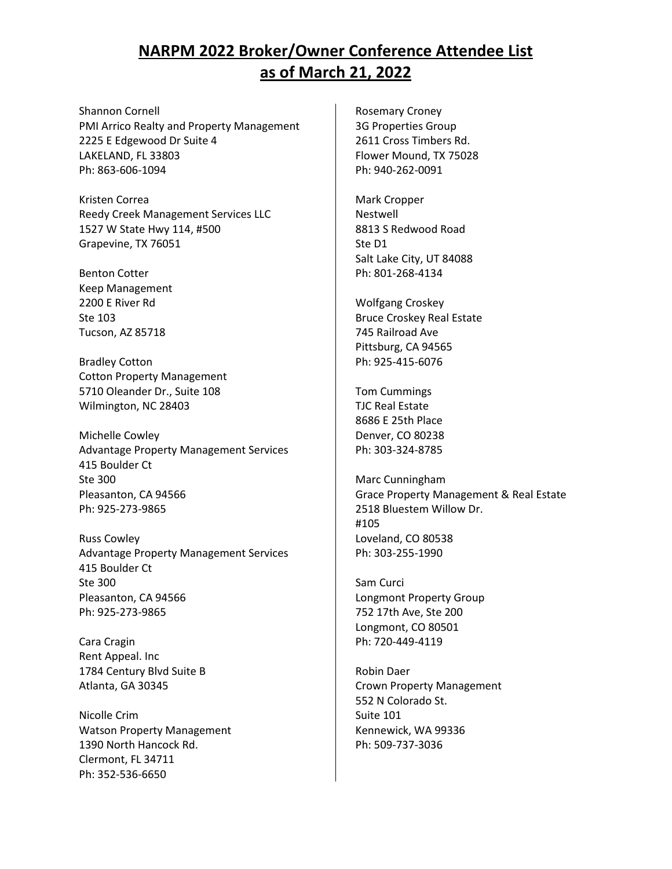Shannon Cornell PMI Arrico Realty and Property Management 2225 E Edgewood Dr Suite 4 LAKELAND, FL 33803 Ph: 863-606-1094

Kristen Correa Reedy Creek Management Services LLC 1527 W State Hwy 114, #500 Grapevine, TX 76051

Benton Cotter Keep Management 2200 E River Rd Ste 103 Tucson, AZ 85718

Bradley Cotton Cotton Property Management 5710 Oleander Dr., Suite 108 Wilmington, NC 28403

Michelle Cowley Advantage Property Management Services 415 Boulder Ct Ste 300 Pleasanton, CA 94566 Ph: 925-273-9865

Russ Cowley Advantage Property Management Services 415 Boulder Ct Ste 300 Pleasanton, CA 94566 Ph: 925-273-9865

Cara Cragin Rent Appeal. Inc 1784 Century Blvd Suite B Atlanta, GA 30345

Nicolle Crim Watson Property Management 1390 North Hancock Rd. Clermont, FL 34711 Ph: 352-536-6650

Rosemary Croney 3G Properties Group 2611 Cross Timbers Rd. Flower Mound, TX 75028 Ph: 940-262-0091

Mark Cropper Nestwell 8813 S Redwood Road Ste D1 Salt Lake City, UT 84088 Ph: 801-268-4134

Wolfgang Croskey Bruce Croskey Real Estate 745 Railroad Ave Pittsburg, CA 94565 Ph: 925-415-6076

Tom Cummings TJC Real Estate 8686 E 25th Place Denver, CO 80238 Ph: 303-324-8785

Marc Cunningham Grace Property Management & Real Estate 2518 Bluestem Willow Dr. #105 Loveland, CO 80538 Ph: 303-255-1990

Sam Curci Longmont Property Group 752 17th Ave, Ste 200 Longmont, CO 80501 Ph: 720-449-4119

Robin Daer Crown Property Management 552 N Colorado St. Suite 101 Kennewick, WA 99336 Ph: 509-737-3036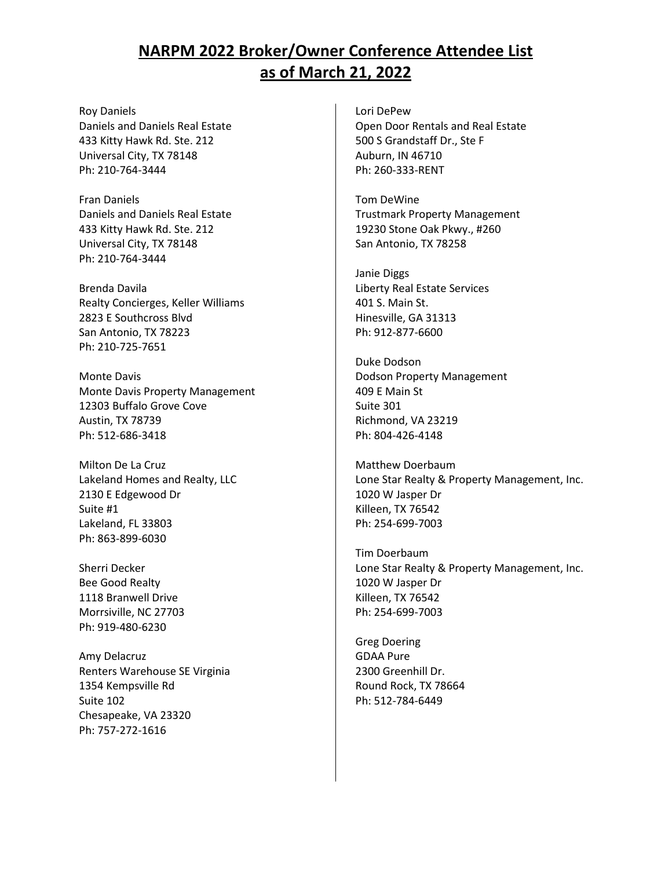Roy Daniels Daniels and Daniels Real Estate 433 Kitty Hawk Rd. Ste. 212 Universal City, TX 78148 Ph: 210-764-3444

Fran Daniels Daniels and Daniels Real Estate 433 Kitty Hawk Rd. Ste. 212 Universal City, TX 78148 Ph: 210-764-3444

Brenda Davila Realty Concierges, Keller Williams 2823 E Southcross Blvd San Antonio, TX 78223 Ph: 210-725-7651

Monte Davis Monte Davis Property Management 12303 Buffalo Grove Cove Austin, TX 78739 Ph: 512-686-3418

Milton De La Cruz Lakeland Homes and Realty, LLC 2130 E Edgewood Dr Suite #1 Lakeland, FL 33803 Ph: 863-899-6030

Sherri Decker Bee Good Realty 1118 Branwell Drive Morrsiville, NC 27703 Ph: 919-480-6230

Amy Delacruz Renters Warehouse SE Virginia 1354 Kempsville Rd Suite 102 Chesapeake, VA 23320 Ph: 757-272-1616

Lori DePew Open Door Rentals and Real Estate 500 S Grandstaff Dr., Ste F Auburn, IN 46710 Ph: 260-333-RENT

Tom DeWine Trustmark Property Management 19230 Stone Oak Pkwy., #260 San Antonio, TX 78258

Janie Diggs Liberty Real Estate Services 401 S. Main St. Hinesville, GA 31313 Ph: 912-877-6600

Duke Dodson Dodson Property Management 409 E Main St Suite 301 Richmond, VA 23219 Ph: 804-426-4148

Matthew Doerbaum Lone Star Realty & Property Management, Inc. 1020 W Jasper Dr Killeen, TX 76542 Ph: 254-699-7003

Tim Doerbaum Lone Star Realty & Property Management, Inc. 1020 W Jasper Dr Killeen, TX 76542 Ph: 254-699-7003

Greg Doering GDAA Pure 2300 Greenhill Dr. Round Rock, TX 78664 Ph: 512-784-6449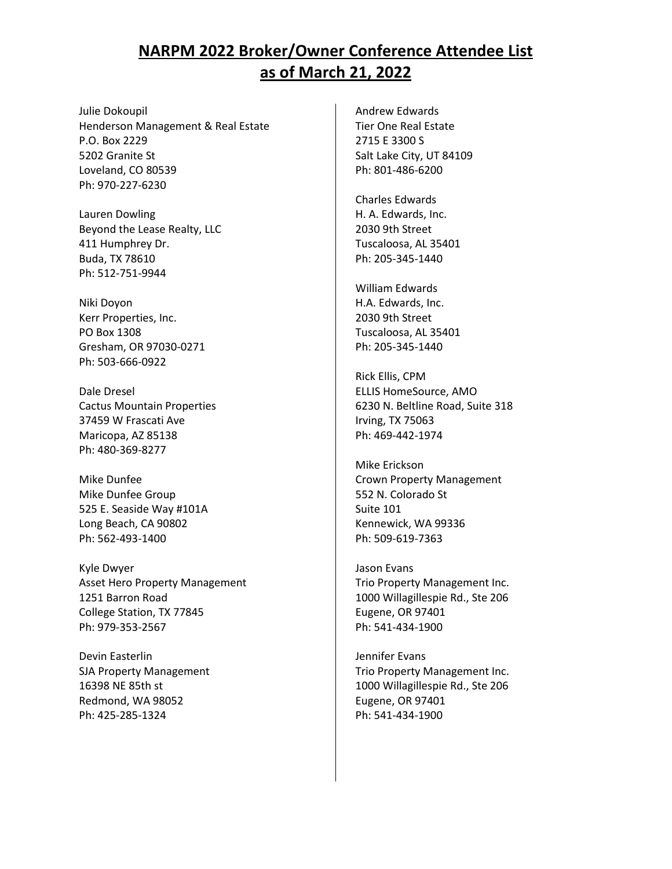Julie Dokoupil Henderson Management & Real Estate P.O. Box 2229 5202 Granite St Loveland, CO 80539 Ph: 970-227-6230

Lauren Dowling Beyond the Lease Realty, LLC 411 Humphrey Dr. Buda, TX 78610 Ph: 512-751-9944

Niki Doyon Kerr Properties, Inc. PO Box 1308 Gresham, OR 97030-0271 Ph: 503-666-0922

Dale Dresel Cactus Mountain Properties 37459 W Frascati Ave Maricopa, AZ 85138 Ph: 480-369-8277

Mike Dunfee Mike Dunfee Group 525 E. Seaside Way #101A Long Beach, CA 90802 Ph: 562-493-1400

Kyle Dwyer Asset Hero Property Management 1251 Barron Road College Station, TX 77845 Ph: 979-353-2567

Devin Easterlin SJA Property Management 16398 NE 85th st Redmond, WA 98052 Ph: 425-285-1324

Andrew Edwards Tier One Real Estate 2715 E 3300 S Salt Lake City, UT 84109 Ph: 801-486-6200

Charles Edwards H. A. Edwards, Inc. 2030 9th Street Tuscaloosa, AL 35401 Ph: 205-345-1440

William Edwards H.A. Edwards, Inc. 2030 9th Street Tuscaloosa, AL 35401 Ph: 205-345-1440

Rick Ellis, CPM ELLIS HomeSource, AMO 6230 N. Beltline Road, Suite 318 Irving, TX 75063 Ph: 469-442-1974

Mike Erickson Crown Property Management 552 N. Colorado St Suite 101 Kennewick, WA 99336 Ph: 509-619-7363

Jason Evans Trio Property Management Inc. 1000 Willagillespie Rd., Ste 206 Eugene, OR 97401 Ph: 541-434-1900

Jennifer Evans Trio Property Management Inc. 1000 Willagillespie Rd., Ste 206 Eugene, OR 97401 Ph: 541-434-1900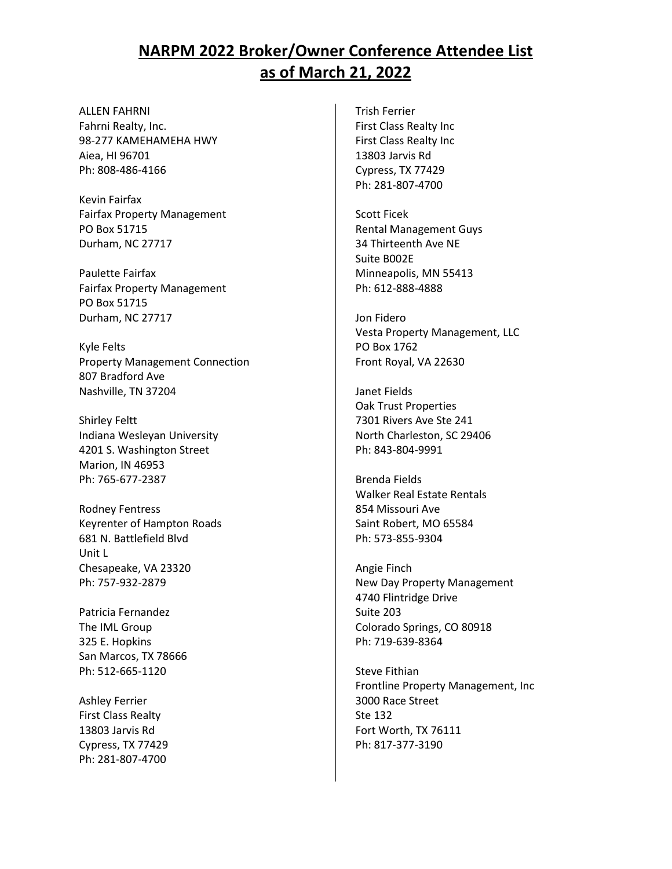ALLEN FAHRNI Fahrni Realty, Inc. 98-277 KAMEHAMEHA HWY Aiea, HI 96701 Ph: 808-486-4166

Kevin Fairfax Fairfax Property Management PO Box 51715 Durham, NC 27717

Paulette Fairfax Fairfax Property Management PO Box 51715 Durham, NC 27717

Kyle Felts Property Management Connection 807 Bradford Ave Nashville, TN 37204

Shirley Feltt Indiana Wesleyan University 4201 S. Washington Street Marion, IN 46953 Ph: 765-677-2387

Rodney Fentress Keyrenter of Hampton Roads 681 N. Battlefield Blvd Unit L Chesapeake, VA 23320 Ph: 757-932-2879

Patricia Fernandez The IML Group 325 E. Hopkins San Marcos, TX 78666 Ph: 512-665-1120

Ashley Ferrier First Class Realty 13803 Jarvis Rd Cypress, TX 77429 Ph: 281-807-4700

Trish Ferrier First Class Realty Inc First Class Realty Inc 13803 Jarvis Rd Cypress, TX 77429 Ph: 281-807-4700

Scott Ficek Rental Management Guys 34 Thirteenth Ave NE Suite B002E Minneapolis, MN 55413 Ph: 612-888-4888

Jon Fidero Vesta Property Management, LLC PO Box 1762 Front Royal, VA 22630

Janet Fields Oak Trust Properties 7301 Rivers Ave Ste 241 North Charleston, SC 29406 Ph: 843-804-9991

Brenda Fields Walker Real Estate Rentals 854 Missouri Ave Saint Robert, MO 65584 Ph: 573-855-9304

Angie Finch New Day Property Management 4740 Flintridge Drive Suite 203 Colorado Springs, CO 80918 Ph: 719-639-8364

Steve Fithian Frontline Property Management, Inc 3000 Race Street Ste 132 Fort Worth, TX 76111 Ph: 817-377-3190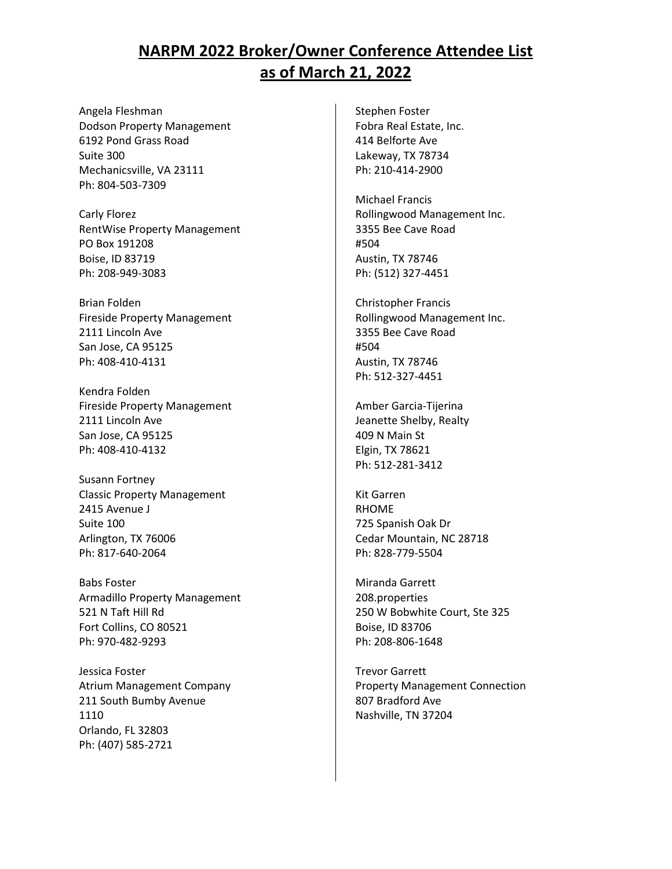Angela Fleshman Dodson Property Management 6192 Pond Grass Road Suite 300 Mechanicsville, VA 23111 Ph: 804-503-7309

Carly Florez RentWise Property Management PO Box 191208 Boise, ID 83719 Ph: 208-949-3083

Brian Folden Fireside Property Management 2111 Lincoln Ave San Jose, CA 95125 Ph: 408-410-4131

Kendra Folden Fireside Property Management 2111 Lincoln Ave San Jose, CA 95125 Ph: 408-410-4132

Susann Fortney Classic Property Management 2415 Avenue J Suite 100 Arlington, TX 76006 Ph: 817-640-2064

Babs Foster Armadillo Property Management 521 N Taft Hill Rd Fort Collins, CO 80521 Ph: 970-482-9293

Jessica Foster Atrium Management Company 211 South Bumby Avenue 1110 Orlando, FL 32803 Ph: (407) 585-2721

Stephen Foster Fobra Real Estate, Inc. 414 Belforte Ave Lakeway, TX 78734 Ph: 210-414-2900

Michael Francis Rollingwood Management Inc. 3355 Bee Cave Road #504 Austin, TX 78746 Ph: (512) 327-4451

Christopher Francis Rollingwood Management Inc. 3355 Bee Cave Road #504 Austin, TX 78746 Ph: 512-327-4451

Amber Garcia-Tijerina Jeanette Shelby, Realty 409 N Main St Elgin, TX 78621 Ph: 512-281-3412

Kit Garren RHOME 725 Spanish Oak Dr Cedar Mountain, NC 28718 Ph: 828-779-5504

Miranda Garrett 208.properties 250 W Bobwhite Court, Ste 325 Boise, ID 83706 Ph: 208-806-1648

Trevor Garrett Property Management Connection 807 Bradford Ave Nashville, TN 37204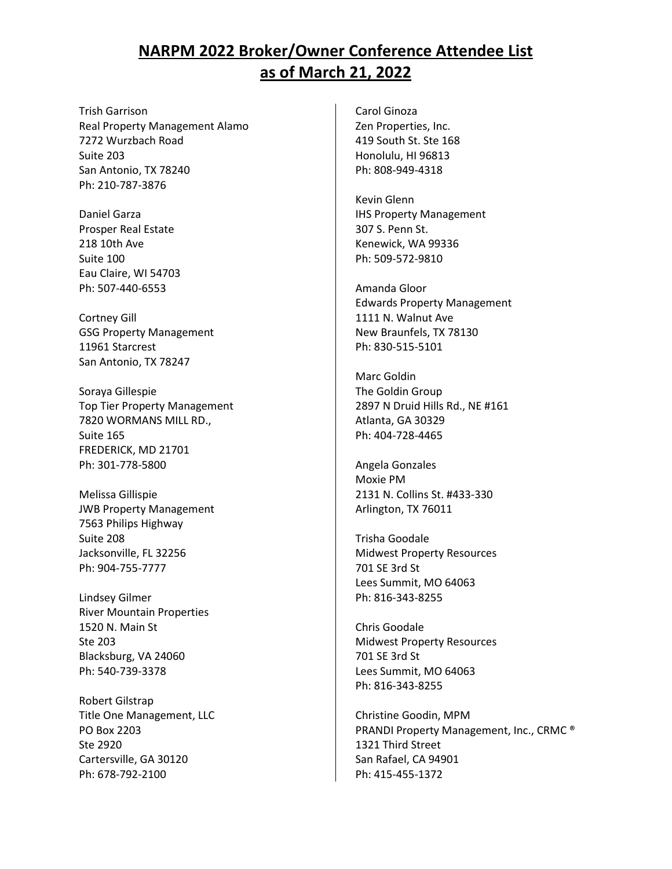Trish Garrison Real Property Management Alamo 7272 Wurzbach Road Suite 203 San Antonio, TX 78240 Ph: 210-787-3876

Daniel Garza Prosper Real Estate 218 10th Ave Suite 100 Eau Claire, WI 54703 Ph: 507-440-6553

Cortney Gill GSG Property Management 11961 Starcrest San Antonio, TX 78247

Soraya Gillespie Top Tier Property Management 7820 WORMANS MILL RD., Suite 165 FREDERICK, MD 21701 Ph: 301-778-5800

Melissa Gillispie JWB Property Management 7563 Philips Highway Suite 208 Jacksonville, FL 32256 Ph: 904-755-7777

Lindsey Gilmer River Mountain Properties 1520 N. Main St Ste 203 Blacksburg, VA 24060 Ph: 540-739-3378

Robert Gilstrap Title One Management, LLC PO Box 2203 Ste 2920 Cartersville, GA 30120 Ph: 678-792-2100

Carol Ginoza Zen Properties, Inc. 419 South St. Ste 168 Honolulu, HI 96813 Ph: 808-949-4318

Kevin Glenn IHS Property Management 307 S. Penn St. Kenewick, WA 99336 Ph: 509-572-9810

Amanda Gloor Edwards Property Management 1111 N. Walnut Ave New Braunfels, TX 78130 Ph: 830-515-5101

Marc Goldin The Goldin Group 2897 N Druid Hills Rd., NE #161 Atlanta, GA 30329 Ph: 404-728-4465

Angela Gonzales Moxie PM 2131 N. Collins St. #433-330 Arlington, TX 76011

Trisha Goodale Midwest Property Resources 701 SE 3rd St Lees Summit, MO 64063 Ph: 816-343-8255

Chris Goodale Midwest Property Resources 701 SE 3rd St Lees Summit, MO 64063 Ph: 816-343-8255

Christine Goodin, MPM PRANDI Property Management, Inc., CRMC ® 1321 Third Street San Rafael, CA 94901 Ph: 415-455-1372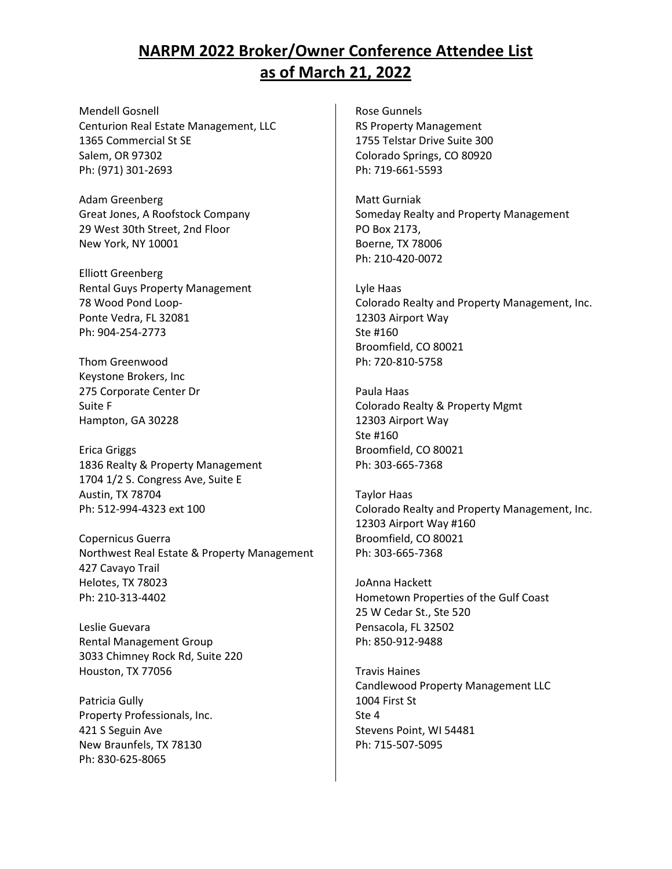Mendell Gosnell Centurion Real Estate Management, LLC 1365 Commercial St SE Salem, OR 97302 Ph: (971) 301-2693

Adam Greenberg Great Jones, A Roofstock Company 29 West 30th Street, 2nd Floor New York, NY 10001

Elliott Greenberg Rental Guys Property Management 78 Wood Pond Loop-Ponte Vedra, FL 32081 Ph: 904-254-2773

Thom Greenwood Keystone Brokers, Inc 275 Corporate Center Dr Suite F Hampton, GA 30228

Erica Griggs 1836 Realty & Property Management 1704 1/2 S. Congress Ave, Suite E Austin, TX 78704 Ph: 512-994-4323 ext 100

Copernicus Guerra Northwest Real Estate & Property Management 427 Cavayo Trail Helotes, TX 78023 Ph: 210-313-4402

Leslie Guevara Rental Management Group 3033 Chimney Rock Rd, Suite 220 Houston, TX 77056

Patricia Gully Property Professionals, Inc. 421 S Seguin Ave New Braunfels, TX 78130 Ph: 830-625-8065

Rose Gunnels RS Property Management 1755 Telstar Drive Suite 300 Colorado Springs, CO 80920 Ph: 719-661-5593

Matt Gurniak Someday Realty and Property Management PO Box 2173, Boerne, TX 78006 Ph: 210-420-0072

Lyle Haas Colorado Realty and Property Management, Inc. 12303 Airport Way Ste #160 Broomfield, CO 80021 Ph: 720-810-5758

Paula Haas Colorado Realty & Property Mgmt 12303 Airport Way Ste #160 Broomfield, CO 80021 Ph: 303-665-7368

Taylor Haas Colorado Realty and Property Management, Inc. 12303 Airport Way #160 Broomfield, CO 80021 Ph: 303-665-7368

JoAnna Hackett Hometown Properties of the Gulf Coast 25 W Cedar St., Ste 520 Pensacola, FL 32502 Ph: 850-912-9488

Travis Haines Candlewood Property Management LLC 1004 First St Ste 4 Stevens Point, WI 54481 Ph: 715-507-5095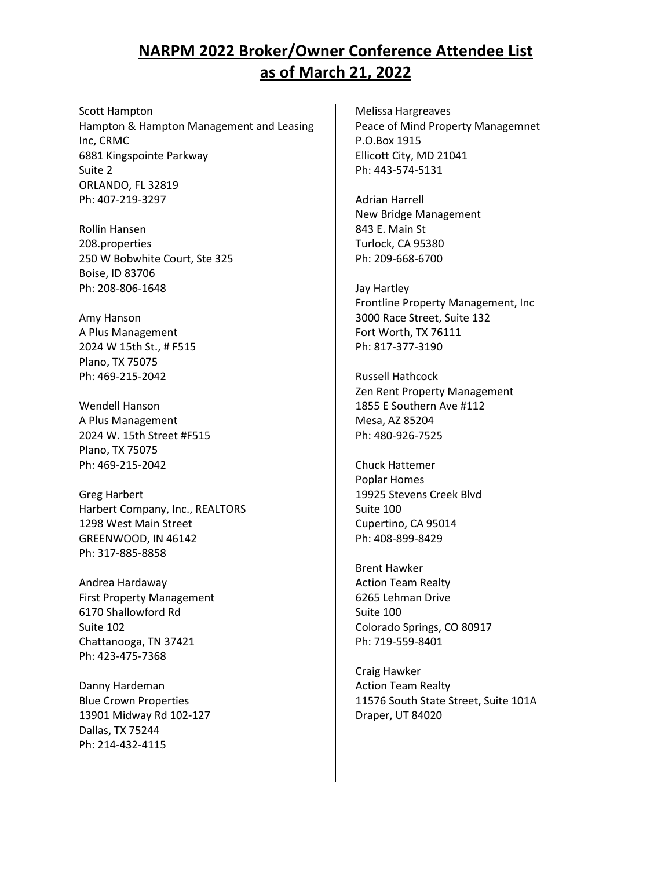Scott Hampton Hampton & Hampton Management and Leasing Inc, CRMC 6881 Kingspointe Parkway Suite 2 ORLANDO, FL 32819 Ph: 407-219-3297

Rollin Hansen 208.properties 250 W Bobwhite Court, Ste 325 Boise, ID 83706 Ph: 208-806-1648

Amy Hanson A Plus Management 2024 W 15th St., # F515 Plano, TX 75075 Ph: 469-215-2042

Wendell Hanson A Plus Management 2024 W. 15th Street #F515 Plano, TX 75075 Ph: 469-215-2042

Greg Harbert Harbert Company, Inc., REALTORS 1298 West Main Street GREENWOOD, IN 46142 Ph: 317-885-8858

Andrea Hardaway First Property Management 6170 Shallowford Rd Suite 102 Chattanooga, TN 37421 Ph: 423-475-7368

Danny Hardeman Blue Crown Properties 13901 Midway Rd 102-127 Dallas, TX 75244 Ph: 214-432-4115

Melissa Hargreaves Peace of Mind Property Managemnet P.O.Box 1915 Ellicott City, MD 21041 Ph: 443-574-5131

Adrian Harrell New Bridge Management 843 E. Main St Turlock, CA 95380 Ph: 209-668-6700

Jay Hartley Frontline Property Management, Inc 3000 Race Street, Suite 132 Fort Worth, TX 76111 Ph: 817-377-3190

Russell Hathcock Zen Rent Property Management 1855 E Southern Ave #112 Mesa, AZ 85204 Ph: 480-926-7525

Chuck Hattemer Poplar Homes 19925 Stevens Creek Blvd Suite 100 Cupertino, CA 95014 Ph: 408-899-8429

Brent Hawker Action Team Realty 6265 Lehman Drive Suite 100 Colorado Springs, CO 80917 Ph: 719-559-8401

Craig Hawker Action Team Realty 11576 South State Street, Suite 101A Draper, UT 84020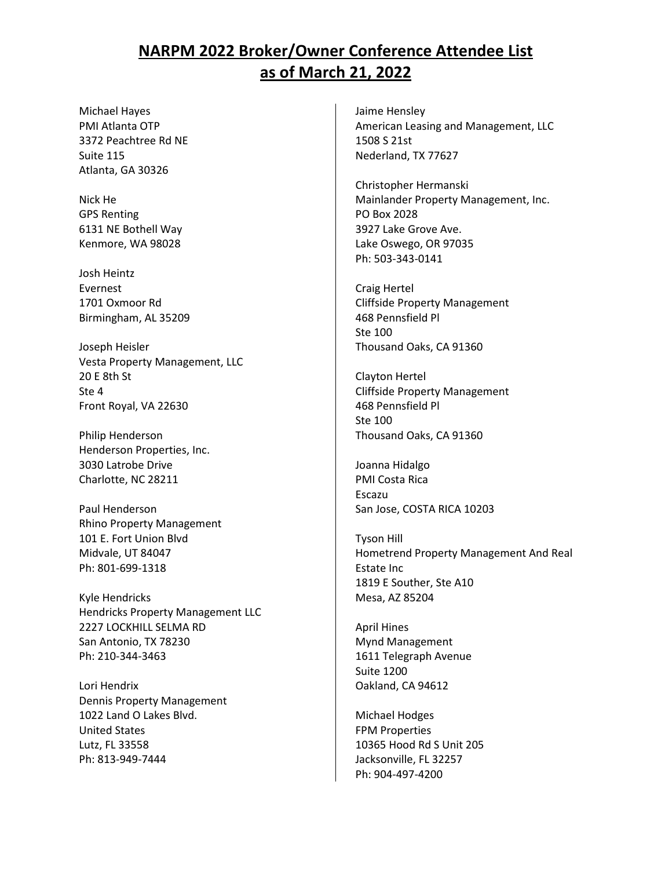Michael Hayes PMI Atlanta OTP 3372 Peachtree Rd NE Suite 115 Atlanta, GA 30326

Nick He GPS Renting 6131 NE Bothell Way Kenmore, WA 98028

Josh Heintz Evernest 1701 Oxmoor Rd Birmingham, AL 35209

Joseph Heisler Vesta Property Management, LLC 20 E 8th St Ste 4 Front Royal, VA 22630

Philip Henderson Henderson Properties, Inc. 3030 Latrobe Drive Charlotte, NC 28211

Paul Henderson Rhino Property Management 101 E. Fort Union Blvd Midvale, UT 84047 Ph: 801-699-1318

Kyle Hendricks Hendricks Property Management LLC 2227 LOCKHILL SELMA RD San Antonio, TX 78230 Ph: 210-344-3463

Lori Hendrix Dennis Property Management 1022 Land O Lakes Blvd. United States Lutz, FL 33558 Ph: 813-949-7444

Jaime Hensley American Leasing and Management, LLC 1508 S 21st Nederland, TX 77627

Christopher Hermanski Mainlander Property Management, Inc. PO Box 2028 3927 Lake Grove Ave. Lake Oswego, OR 97035 Ph: 503-343-0141

Craig Hertel Cliffside Property Management 468 Pennsfield Pl Ste 100 Thousand Oaks, CA 91360

Clayton Hertel Cliffside Property Management 468 Pennsfield Pl Ste 100 Thousand Oaks, CA 91360

Joanna Hidalgo PMI Costa Rica Escazu San Jose, COSTA RICA 10203

Tyson Hill Hometrend Property Management And Real Estate Inc 1819 E Souther, Ste A10 Mesa, AZ 85204

April Hines Mynd Management 1611 Telegraph Avenue Suite 1200 Oakland, CA 94612

Michael Hodges FPM Properties 10365 Hood Rd S Unit 205 Jacksonville, FL 32257 Ph: 904-497-4200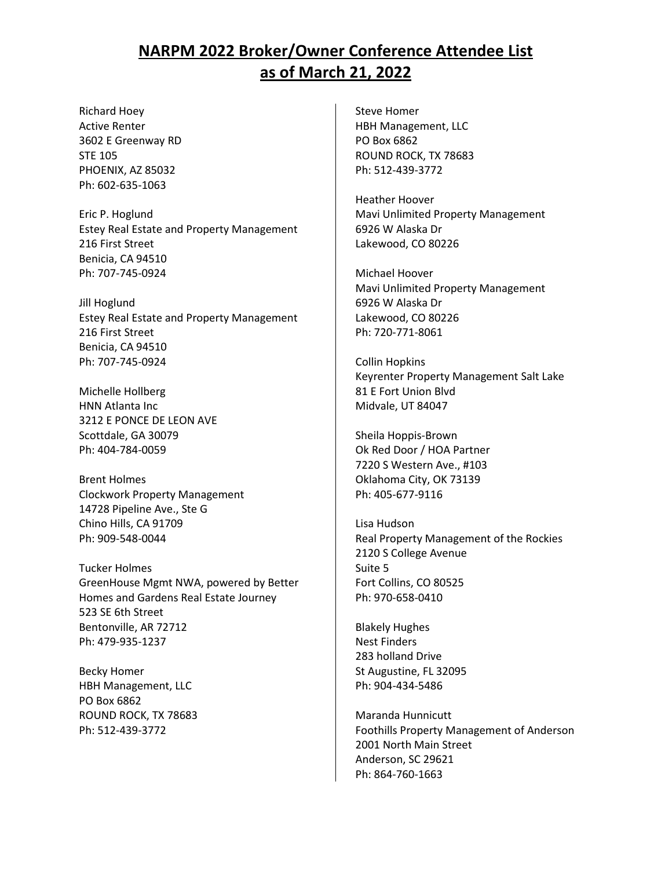Richard Hoey Active Renter 3602 E Greenway RD STE 105 PHOENIX, AZ 85032 Ph: 602-635-1063

Eric P. Hoglund Estey Real Estate and Property Management 216 First Street Benicia, CA 94510 Ph: 707-745-0924

Jill Hoglund Estey Real Estate and Property Management 216 First Street Benicia, CA 94510 Ph: 707-745-0924

Michelle Hollberg HNN Atlanta Inc 3212 E PONCE DE LEON AVE Scottdale, GA 30079 Ph: 404-784-0059

Brent Holmes Clockwork Property Management 14728 Pipeline Ave., Ste G Chino Hills, CA 91709 Ph: 909-548-0044

Tucker Holmes GreenHouse Mgmt NWA, powered by Better Homes and Gardens Real Estate Journey 523 SE 6th Street Bentonville, AR 72712 Ph: 479-935-1237

Becky Homer HBH Management, LLC PO Box 6862 ROUND ROCK, TX 78683 Ph: 512-439-3772

Steve Homer HBH Management, LLC PO Box 6862 ROUND ROCK, TX 78683 Ph: 512-439-3772

Heather Hoover Mavi Unlimited Property Management 6926 W Alaska Dr Lakewood, CO 80226

Michael Hoover Mavi Unlimited Property Management 6926 W Alaska Dr Lakewood, CO 80226 Ph: 720-771-8061

Collin Hopkins Keyrenter Property Management Salt Lake 81 E Fort Union Blvd Midvale, UT 84047

Sheila Hoppis-Brown Ok Red Door / HOA Partner 7220 S Western Ave., #103 Oklahoma City, OK 73139 Ph: 405-677-9116

Lisa Hudson Real Property Management of the Rockies 2120 S College Avenue Suite 5 Fort Collins, CO 80525 Ph: 970-658-0410

Blakely Hughes Nest Finders 283 holland Drive St Augustine, FL 32095 Ph: 904-434-5486

Maranda Hunnicutt Foothills Property Management of Anderson 2001 North Main Street Anderson, SC 29621 Ph: 864-760-1663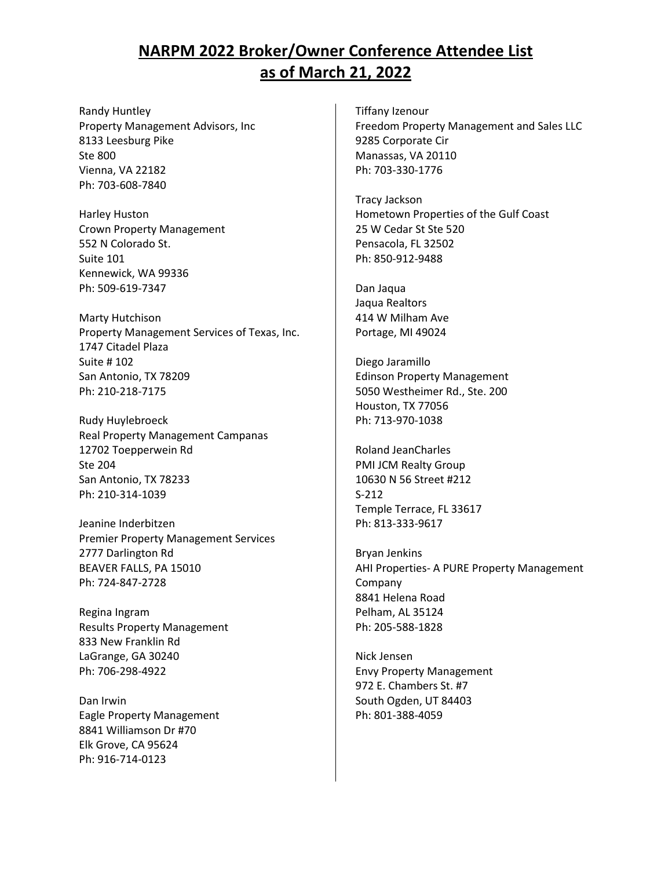Randy Huntley Property Management Advisors, Inc 8133 Leesburg Pike Ste 800 Vienna, VA 22182 Ph: 703-608-7840

Harley Huston Crown Property Management 552 N Colorado St. Suite 101 Kennewick, WA 99336 Ph: 509-619-7347

Marty Hutchison Property Management Services of Texas, Inc. 1747 Citadel Plaza Suite # 102 San Antonio, TX 78209 Ph: 210-218-7175

Rudy Huylebroeck Real Property Management Campanas 12702 Toepperwein Rd Ste 204 San Antonio, TX 78233 Ph: 210-314-1039

Jeanine Inderbitzen Premier Property Management Services 2777 Darlington Rd BEAVER FALLS, PA 15010 Ph: 724-847-2728

Regina Ingram Results Property Management 833 New Franklin Rd LaGrange, GA 30240 Ph: 706-298-4922

Dan Irwin Eagle Property Management 8841 Williamson Dr #70 Elk Grove, CA 95624 Ph: 916-714-0123

Tiffany Izenour Freedom Property Management and Sales LLC 9285 Corporate Cir Manassas, VA 20110 Ph: 703-330-1776

Tracy Jackson Hometown Properties of the Gulf Coast 25 W Cedar St Ste 520 Pensacola, FL 32502 Ph: 850-912-9488

Dan Jaqua Jaqua Realtors 414 W Milham Ave Portage, MI 49024

Diego Jaramillo Edinson Property Management 5050 Westheimer Rd., Ste. 200 Houston, TX 77056 Ph: 713-970-1038

Roland JeanCharles PMI JCM Realty Group 10630 N 56 Street #212 S-212 Temple Terrace, FL 33617 Ph: 813-333-9617

Bryan Jenkins AHI Properties- A PURE Property Management Company 8841 Helena Road Pelham, AL 35124 Ph: 205-588-1828

Nick Jensen Envy Property Management 972 E. Chambers St. #7 South Ogden, UT 84403 Ph: 801-388-4059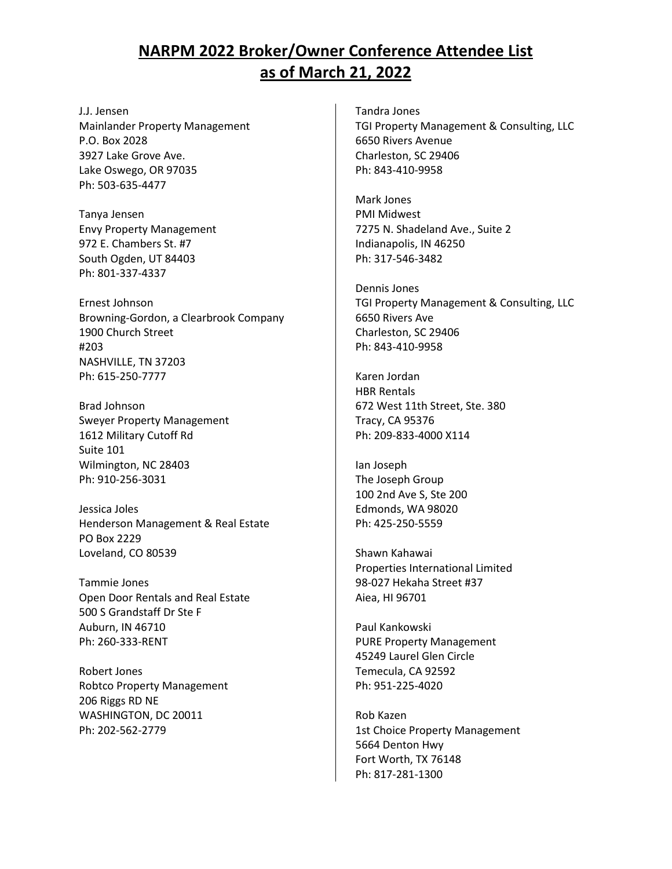J.J. Jensen Mainlander Property Management P.O. Box 2028 3927 Lake Grove Ave. Lake Oswego, OR 97035 Ph: 503-635-4477

Tanya Jensen Envy Property Management 972 E. Chambers St. #7 South Ogden, UT 84403 Ph: 801-337-4337

Ernest Johnson Browning-Gordon, a Clearbrook Company 1900 Church Street #203 NASHVILLE, TN 37203 Ph: 615-250-7777

Brad Johnson Sweyer Property Management 1612 Military Cutoff Rd Suite 101 Wilmington, NC 28403 Ph: 910-256-3031

Jessica Joles Henderson Management & Real Estate PO Box 2229 Loveland, CO 80539

Tammie Jones Open Door Rentals and Real Estate 500 S Grandstaff Dr Ste F Auburn, IN 46710 Ph: 260-333-RENT

Robert Jones Robtco Property Management 206 Riggs RD NE WASHINGTON, DC 20011 Ph: 202-562-2779

Tandra Jones TGI Property Management & Consulting, LLC 6650 Rivers Avenue Charleston, SC 29406 Ph: 843-410-9958

Mark Jones PMI Midwest 7275 N. Shadeland Ave., Suite 2 Indianapolis, IN 46250 Ph: 317-546-3482

Dennis Jones TGI Property Management & Consulting, LLC 6650 Rivers Ave Charleston, SC 29406 Ph: 843-410-9958

Karen Jordan HBR Rentals 672 West 11th Street, Ste. 380 Tracy, CA 95376 Ph: 209-833-4000 X114

Ian Joseph The Joseph Group 100 2nd Ave S, Ste 200 Edmonds, WA 98020 Ph: 425-250-5559

Shawn Kahawai Properties International Limited 98-027 Hekaha Street #37 Aiea, HI 96701

Paul Kankowski PURE Property Management 45249 Laurel Glen Circle Temecula, CA 92592 Ph: 951-225-4020

Rob Kazen 1st Choice Property Management 5664 Denton Hwy Fort Worth, TX 76148 Ph: 817-281-1300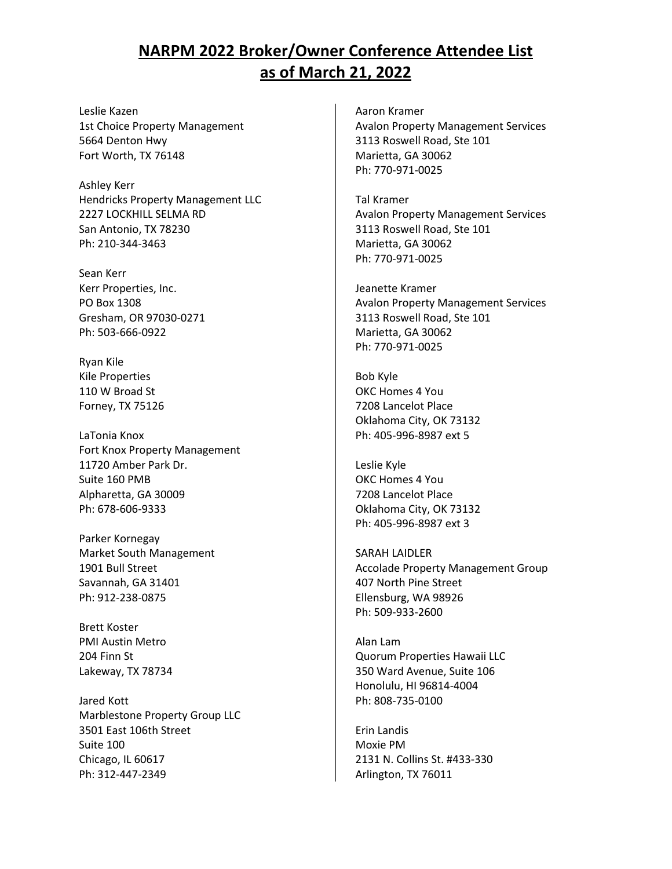Leslie Kazen 1st Choice Property Management 5664 Denton Hwy Fort Worth, TX 76148

Ashley Kerr Hendricks Property Management LLC 2227 LOCKHILL SELMA RD San Antonio, TX 78230 Ph: 210-344-3463

Sean Kerr Kerr Properties, Inc. PO Box 1308 Gresham, OR 97030-0271 Ph: 503-666-0922

Ryan Kile Kile Properties 110 W Broad St Forney, TX 75126

LaTonia Knox Fort Knox Property Management 11720 Amber Park Dr. Suite 160 PMB Alpharetta, GA 30009 Ph: 678-606-9333

Parker Kornegay Market South Management 1901 Bull Street Savannah, GA 31401 Ph: 912-238-0875

Brett Koster PMI Austin Metro 204 Finn St Lakeway, TX 78734

Jared Kott Marblestone Property Group LLC 3501 East 106th Street Suite 100 Chicago, IL 60617 Ph: 312-447-2349

Aaron Kramer Avalon Property Management Services 3113 Roswell Road, Ste 101 Marietta, GA 30062 Ph: 770-971-0025

Tal Kramer Avalon Property Management Services 3113 Roswell Road, Ste 101 Marietta, GA 30062 Ph: 770-971-0025

Jeanette Kramer Avalon Property Management Services 3113 Roswell Road, Ste 101 Marietta, GA 30062 Ph: 770-971-0025

Bob Kyle OKC Homes 4 You 7208 Lancelot Place Oklahoma City, OK 73132 Ph: 405-996-8987 ext 5

Leslie Kyle OKC Homes 4 You 7208 Lancelot Place Oklahoma City, OK 73132 Ph: 405-996-8987 ext 3

SARAH LAIDLER Accolade Property Management Group 407 North Pine Street Ellensburg, WA 98926 Ph: 509-933-2600

Alan Lam Quorum Properties Hawaii LLC 350 Ward Avenue, Suite 106 Honolulu, HI 96814-4004 Ph: 808-735-0100

Erin Landis Moxie PM 2131 N. Collins St. #433-330 Arlington, TX 76011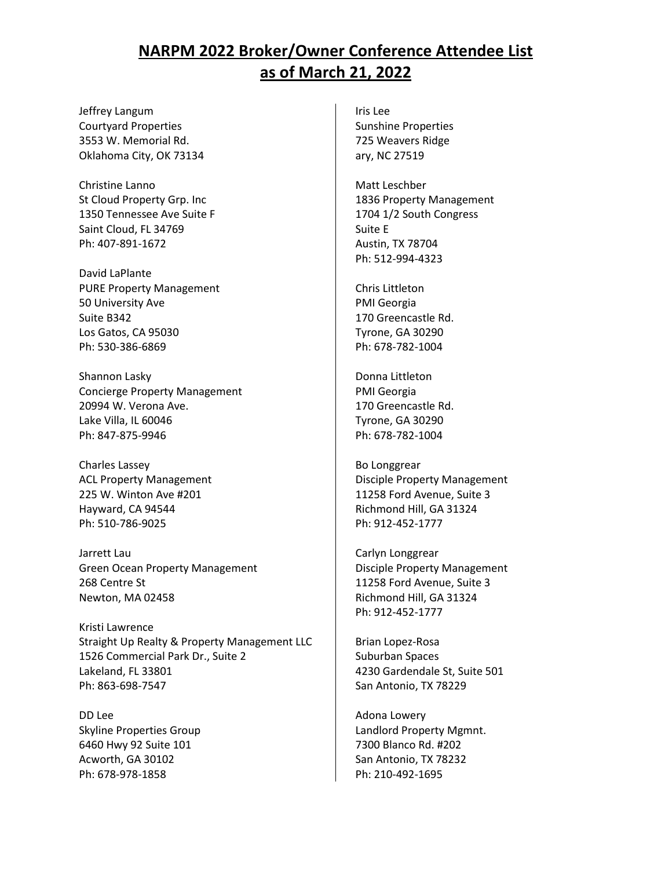Jeffrey Langum Courtyard Properties 3553 W. Memorial Rd. Oklahoma City, OK 73134

Christine Lanno St Cloud Property Grp. Inc 1350 Tennessee Ave Suite F Saint Cloud, FL 34769 Ph: 407-891-1672

David LaPlante PURE Property Management 50 University Ave Suite B342 Los Gatos, CA 95030 Ph: 530-386-6869

Shannon Lasky Concierge Property Management 20994 W. Verona Ave. Lake Villa, IL 60046 Ph: 847-875-9946

Charles Lassey ACL Property Management 225 W. Winton Ave #201 Hayward, CA 94544 Ph: 510-786-9025

Jarrett Lau Green Ocean Property Management 268 Centre St Newton, MA 02458

Kristi Lawrence Straight Up Realty & Property Management LLC 1526 Commercial Park Dr., Suite 2 Lakeland, FL 33801 Ph: 863-698-7547

DD Lee Skyline Properties Group 6460 Hwy 92 Suite 101 Acworth, GA 30102 Ph: 678-978-1858

Iris Lee Sunshine Properties 725 Weavers Ridge ary, NC 27519

Matt Leschber 1836 Property Management 1704 1/2 South Congress Suite E Austin, TX 78704 Ph: 512-994-4323

Chris Littleton PMI Georgia 170 Greencastle Rd. Tyrone, GA 30290 Ph: 678-782-1004

Donna Littleton PMI Georgia 170 Greencastle Rd. Tyrone, GA 30290 Ph: 678-782-1004

Bo Longgrear Disciple Property Management 11258 Ford Avenue, Suite 3 Richmond Hill, GA 31324 Ph: 912-452-1777

Carlyn Longgrear Disciple Property Management 11258 Ford Avenue, Suite 3 Richmond Hill, GA 31324 Ph: 912-452-1777

Brian Lopez-Rosa Suburban Spaces 4230 Gardendale St, Suite 501 San Antonio, TX 78229

Adona Lowery Landlord Property Mgmnt. 7300 Blanco Rd. #202 San Antonio, TX 78232 Ph: 210-492-1695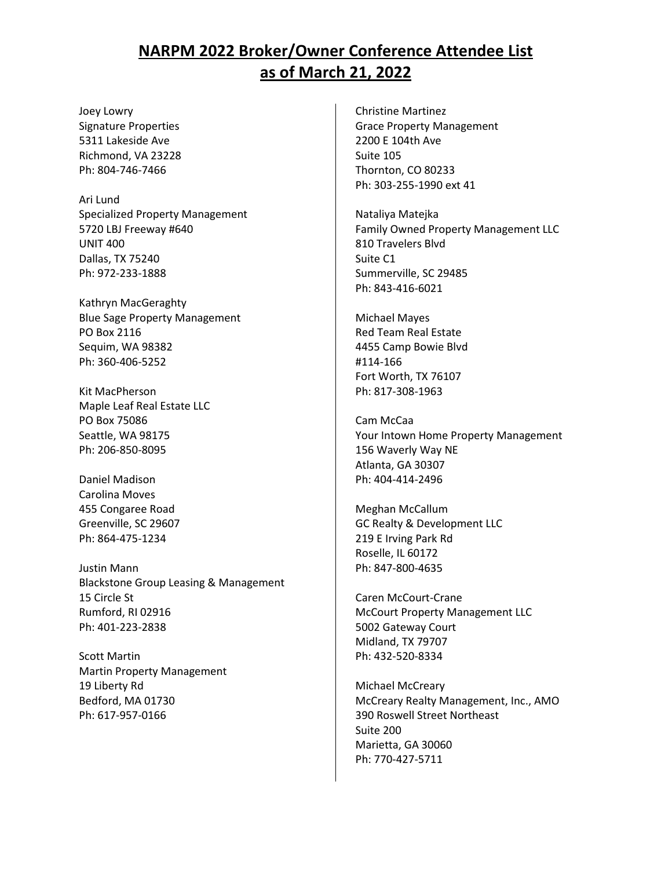Joey Lowry Signature Properties 5311 Lakeside Ave Richmond, VA 23228 Ph: 804-746-7466

Ari Lund Specialized Property Management 5720 LBJ Freeway #640 UNIT 400 Dallas, TX 75240 Ph: 972-233-1888

Kathryn MacGeraghty Blue Sage Property Management PO Box 2116 Sequim, WA 98382 Ph: 360-406-5252

Kit MacPherson Maple Leaf Real Estate LLC PO Box 75086 Seattle, WA 98175 Ph: 206-850-8095

Daniel Madison Carolina Moves 455 Congaree Road Greenville, SC 29607 Ph: 864-475-1234

Justin Mann Blackstone Group Leasing & Management 15 Circle St Rumford, RI 02916 Ph: 401-223-2838

Scott Martin Martin Property Management 19 Liberty Rd Bedford, MA 01730 Ph: 617-957-0166

Christine Martinez Grace Property Management 2200 E 104th Ave Suite 105 Thornton, CO 80233 Ph: 303-255-1990 ext 41

Nataliya Matejka Family Owned Property Management LLC 810 Travelers Blvd Suite C1 Summerville, SC 29485 Ph: 843-416-6021

Michael Mayes Red Team Real Estate 4455 Camp Bowie Blvd #114-166 Fort Worth, TX 76107 Ph: 817-308-1963

Cam McCaa Your Intown Home Property Management 156 Waverly Way NE Atlanta, GA 30307 Ph: 404-414-2496

Meghan McCallum GC Realty & Development LLC 219 E Irving Park Rd Roselle, IL 60172 Ph: 847-800-4635

Caren McCourt-Crane McCourt Property Management LLC 5002 Gateway Court Midland, TX 79707 Ph: 432-520-8334

Michael McCreary McCreary Realty Management, Inc., AMO 390 Roswell Street Northeast Suite 200 Marietta, GA 30060 Ph: 770-427-5711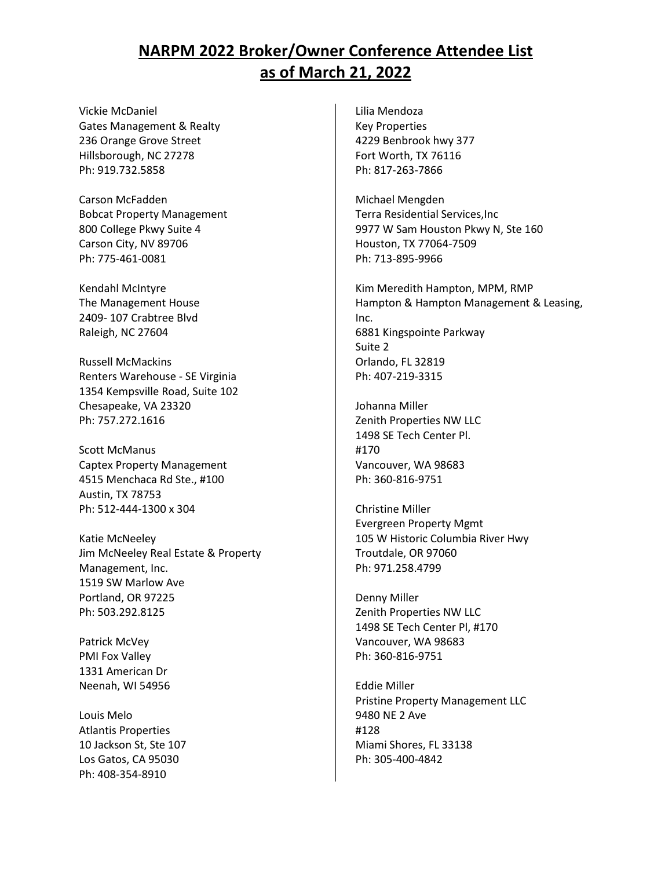Vickie McDaniel Gates Management & Realty 236 Orange Grove Street Hillsborough, NC 27278 Ph: 919.732.5858

Carson McFadden Bobcat Property Management 800 College Pkwy Suite 4 Carson City, NV 89706 Ph: 775-461-0081

Kendahl McIntyre The Management House 2409- 107 Crabtree Blvd Raleigh, NC 27604

Russell McMackins Renters Warehouse - SE Virginia 1354 Kempsville Road, Suite 102 Chesapeake, VA 23320 Ph: 757.272.1616

Scott McManus Captex Property Management 4515 Menchaca Rd Ste., #100 Austin, TX 78753 Ph: 512-444-1300 x 304

Katie McNeeley Jim McNeeley Real Estate & Property Management, Inc. 1519 SW Marlow Ave Portland, OR 97225 Ph: 503.292.8125

Patrick McVey PMI Fox Valley 1331 American Dr Neenah, WI 54956

Louis Melo Atlantis Properties 10 Jackson St, Ste 107 Los Gatos, CA 95030 Ph: 408-354-8910

Lilia Mendoza Key Properties 4229 Benbrook hwy 377 Fort Worth, TX 76116 Ph: 817-263-7866

Michael Mengden Terra Residential Services,Inc 9977 W Sam Houston Pkwy N, Ste 160 Houston, TX 77064-7509 Ph: 713-895-9966

Kim Meredith Hampton, MPM, RMP Hampton & Hampton Management & Leasing, Inc. 6881 Kingspointe Parkway Suite 2 Orlando, FL 32819 Ph: 407-219-3315

Johanna Miller Zenith Properties NW LLC 1498 SE Tech Center Pl. #170 Vancouver, WA 98683 Ph: 360-816-9751

Christine Miller Evergreen Property Mgmt 105 W Historic Columbia River Hwy Troutdale, OR 97060 Ph: 971.258.4799

Denny Miller Zenith Properties NW LLC 1498 SE Tech Center Pl, #170 Vancouver, WA 98683 Ph: 360-816-9751

Eddie Miller Pristine Property Management LLC 9480 NE 2 Ave #128 Miami Shores, FL 33138 Ph: 305-400-4842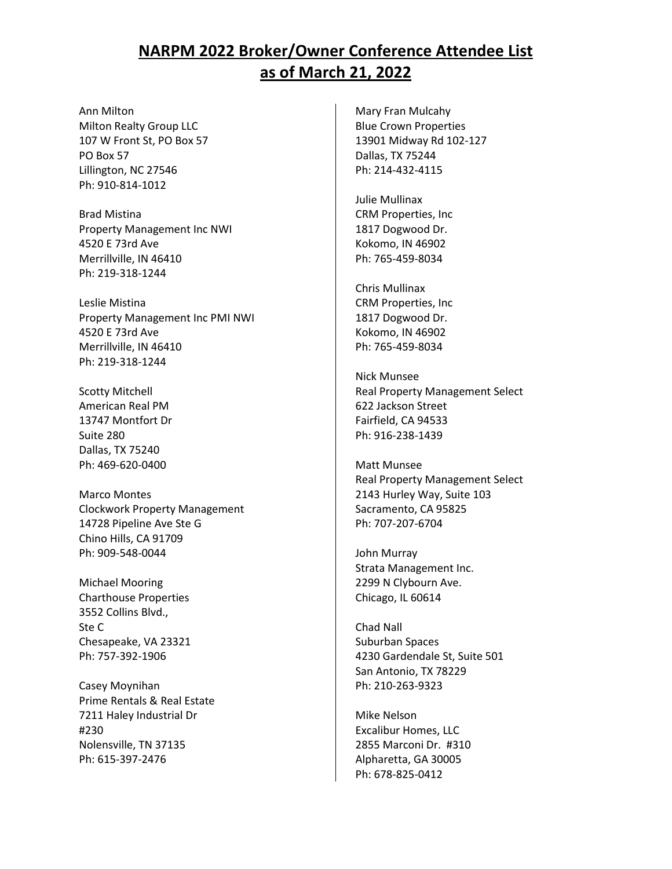Ann Milton Milton Realty Group LLC 107 W Front St, PO Box 57 PO Box 57 Lillington, NC 27546 Ph: 910-814-1012

Brad Mistina Property Management Inc NWI 4520 E 73rd Ave Merrillville, IN 46410 Ph: 219-318-1244

Leslie Mistina Property Management Inc PMI NWI 4520 E 73rd Ave Merrillville, IN 46410 Ph: 219-318-1244

Scotty Mitchell American Real PM 13747 Montfort Dr Suite 280 Dallas, TX 75240 Ph: 469-620-0400

Marco Montes Clockwork Property Management 14728 Pipeline Ave Ste G Chino Hills, CA 91709 Ph: 909-548-0044

Michael Mooring Charthouse Properties 3552 Collins Blvd., Ste C Chesapeake, VA 23321 Ph: 757-392-1906

Casey Moynihan Prime Rentals & Real Estate 7211 Haley Industrial Dr #230 Nolensville, TN 37135 Ph: 615-397-2476

Mary Fran Mulcahy Blue Crown Properties 13901 Midway Rd 102-127 Dallas, TX 75244 Ph: 214-432-4115

Julie Mullinax CRM Properties, Inc 1817 Dogwood Dr. Kokomo, IN 46902 Ph: 765-459-8034

Chris Mullinax CRM Properties, Inc 1817 Dogwood Dr. Kokomo, IN 46902 Ph: 765-459-8034

Nick Munsee Real Property Management Select 622 Jackson Street Fairfield, CA 94533 Ph: 916-238-1439

Matt Munsee Real Property Management Select 2143 Hurley Way, Suite 103 Sacramento, CA 95825 Ph: 707-207-6704

John Murray Strata Management Inc. 2299 N Clybourn Ave. Chicago, IL 60614

Chad Nall Suburban Spaces 4230 Gardendale St, Suite 501 San Antonio, TX 78229 Ph: 210-263-9323

Mike Nelson Excalibur Homes, LLC 2855 Marconi Dr. #310 Alpharetta, GA 30005 Ph: 678-825-0412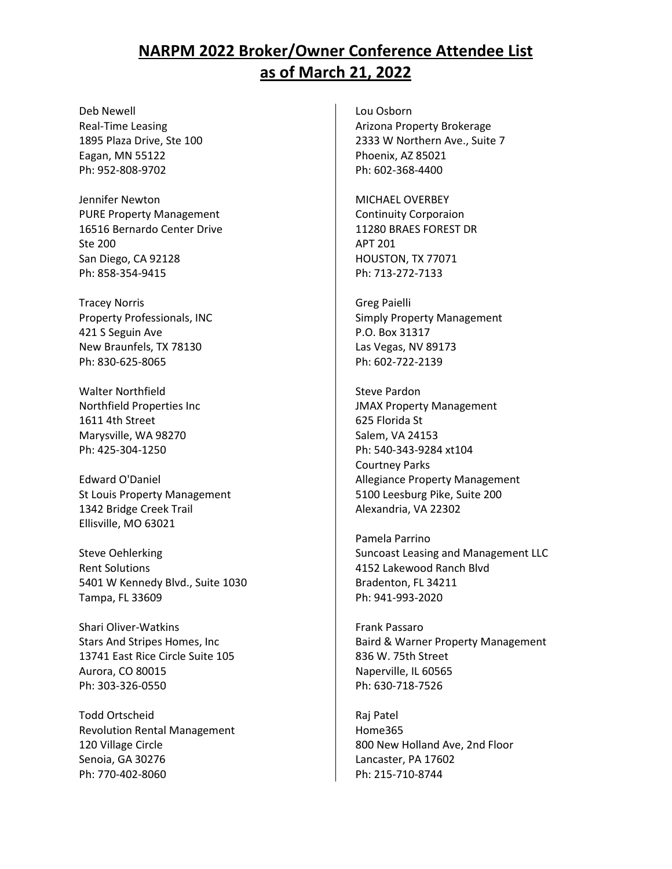Deb Newell Real-Time Leasing 1895 Plaza Drive, Ste 100 Eagan, MN 55122 Ph: 952-808-9702

Jennifer Newton PURE Property Management 16516 Bernardo Center Drive Ste 200 San Diego, CA 92128 Ph: 858-354-9415

Tracey Norris Property Professionals, INC 421 S Seguin Ave New Braunfels, TX 78130 Ph: 830-625-8065

Walter Northfield Northfield Properties Inc 1611 4th Street Marysville, WA 98270 Ph: 425-304-1250

Edward O'Daniel St Louis Property Management 1342 Bridge Creek Trail Ellisville, MO 63021

Steve Oehlerking Rent Solutions 5401 W Kennedy Blvd., Suite 1030 Tampa, FL 33609

Shari Oliver-Watkins Stars And Stripes Homes, Inc 13741 East Rice Circle Suite 105 Aurora, CO 80015 Ph: 303-326-0550

Todd Ortscheid Revolution Rental Management 120 Village Circle Senoia, GA 30276 Ph: 770-402-8060

Lou Osborn Arizona Property Brokerage 2333 W Northern Ave., Suite 7 Phoenix, AZ 85021 Ph: 602-368-4400

MICHAEL OVERBEY Continuity Corporaion 11280 BRAES FOREST DR APT 201 HOUSTON, TX 77071 Ph: 713-272-7133

Greg Paielli Simply Property Management P.O. Box 31317 Las Vegas, NV 89173 Ph: 602-722-2139

Steve Pardon JMAX Property Management 625 Florida St Salem, VA 24153 Ph: 540-343-9284 xt104 Courtney Parks Allegiance Property Management 5100 Leesburg Pike, Suite 200 Alexandria, VA 22302

Pamela Parrino Suncoast Leasing and Management LLC 4152 Lakewood Ranch Blvd Bradenton, FL 34211 Ph: 941-993-2020

Frank Passaro Baird & Warner Property Management 836 W. 75th Street Naperville, IL 60565 Ph: 630-718-7526

Raj Patel Home365 800 New Holland Ave, 2nd Floor Lancaster, PA 17602 Ph: 215-710-8744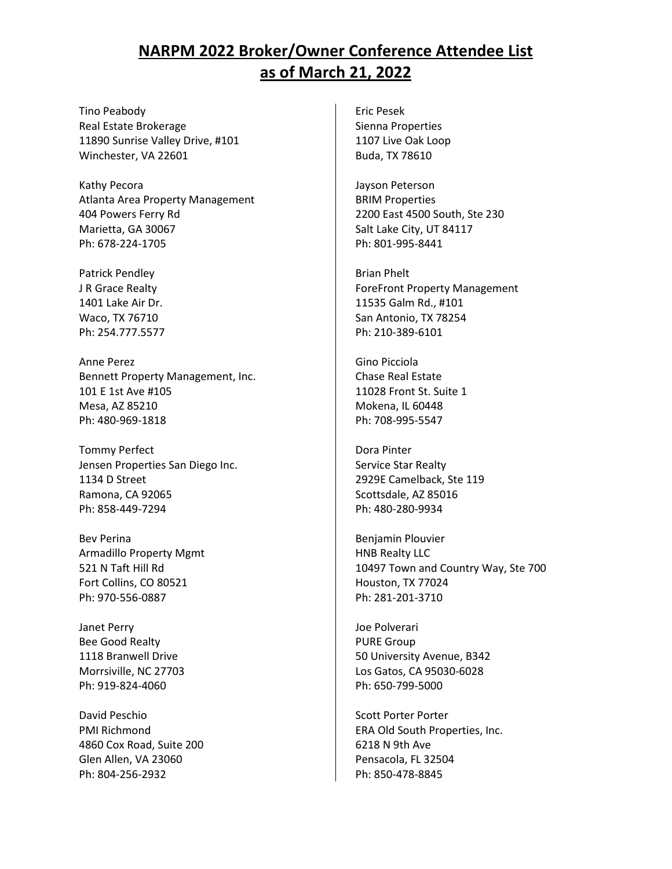Tino Peabody Real Estate Brokerage 11890 Sunrise Valley Drive, #101 Winchester, VA 22601

Kathy Pecora Atlanta Area Property Management 404 Powers Ferry Rd Marietta, GA 30067 Ph: 678-224-1705

Patrick Pendley J R Grace Realty 1401 Lake Air Dr. Waco, TX 76710 Ph: 254.777.5577

Anne Perez Bennett Property Management, Inc. 101 E 1st Ave #105 Mesa, AZ 85210 Ph: 480-969-1818

Tommy Perfect Jensen Properties San Diego Inc. 1134 D Street Ramona, CA 92065 Ph: 858-449-7294

Bev Perina Armadillo Property Mgmt 521 N Taft Hill Rd Fort Collins, CO 80521 Ph: 970-556-0887

Janet Perry Bee Good Realty 1118 Branwell Drive Morrsiville, NC 27703 Ph: 919-824-4060

David Peschio PMI Richmond 4860 Cox Road, Suite 200 Glen Allen, VA 23060 Ph: 804-256-2932

Eric Pesek Sienna Properties 1107 Live Oak Loop Buda, TX 78610

Jayson Peterson BRIM Properties 2200 East 4500 South, Ste 230 Salt Lake City, UT 84117 Ph: 801-995-8441

Brian Phelt ForeFront Property Management 11535 Galm Rd., #101 San Antonio, TX 78254 Ph: 210-389-6101

Gino Picciola Chase Real Estate 11028 Front St. Suite 1 Mokena, IL 60448 Ph: 708-995-5547

Dora Pinter Service Star Realty 2929E Camelback, Ste 119 Scottsdale, AZ 85016 Ph: 480-280-9934

Benjamin Plouvier HNB Realty LLC 10497 Town and Country Way, Ste 700 Houston, TX 77024 Ph: 281-201-3710

Joe Polverari PURE Group 50 University Avenue, B342 Los Gatos, CA 95030-6028 Ph: 650-799-5000

Scott Porter Porter ERA Old South Properties, Inc. 6218 N 9th Ave Pensacola, FL 32504 Ph: 850-478-8845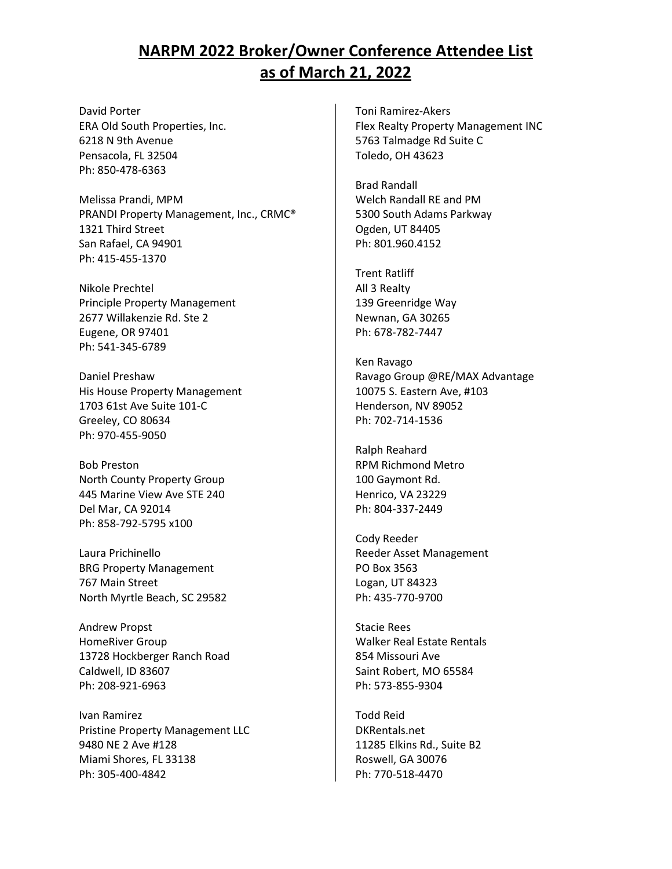David Porter ERA Old South Properties, Inc. 6218 N 9th Avenue Pensacola, FL 32504 Ph: 850-478-6363

Melissa Prandi, MPM PRANDI Property Management, Inc., CRMC® 1321 Third Street San Rafael, CA 94901 Ph: 415-455-1370

Nikole Prechtel Principle Property Management 2677 Willakenzie Rd. Ste 2 Eugene, OR 97401 Ph: 541-345-6789

Daniel Preshaw His House Property Management 1703 61st Ave Suite 101-C Greeley, CO 80634 Ph: 970-455-9050

Bob Preston North County Property Group 445 Marine View Ave STE 240 Del Mar, CA 92014 Ph: 858-792-5795 x100

Laura Prichinello BRG Property Management 767 Main Street North Myrtle Beach, SC 29582

Andrew Propst HomeRiver Group 13728 Hockberger Ranch Road Caldwell, ID 83607 Ph: 208-921-6963

Ivan Ramirez Pristine Property Management LLC 9480 NE 2 Ave #128 Miami Shores, FL 33138 Ph: 305-400-4842

Toni Ramirez-Akers Flex Realty Property Management INC 5763 Talmadge Rd Suite C Toledo, OH 43623

Brad Randall Welch Randall RE and PM 5300 South Adams Parkway Ogden, UT 84405 Ph: 801.960.4152

Trent Ratliff All 3 Realty 139 Greenridge Way Newnan, GA 30265 Ph: 678-782-7447

Ken Ravago Ravago Group @RE/MAX Advantage 10075 S. Eastern Ave, #103 Henderson, NV 89052 Ph: 702-714-1536

Ralph Reahard RPM Richmond Metro 100 Gaymont Rd. Henrico, VA 23229 Ph: 804-337-2449

Cody Reeder Reeder Asset Management PO Box 3563 Logan, UT 84323 Ph: 435-770-9700

Stacie Rees Walker Real Estate Rentals 854 Missouri Ave Saint Robert, MO 65584 Ph: 573-855-9304

Todd Reid DKRentals.net 11285 Elkins Rd., Suite B2 Roswell, GA 30076 Ph: 770-518-4470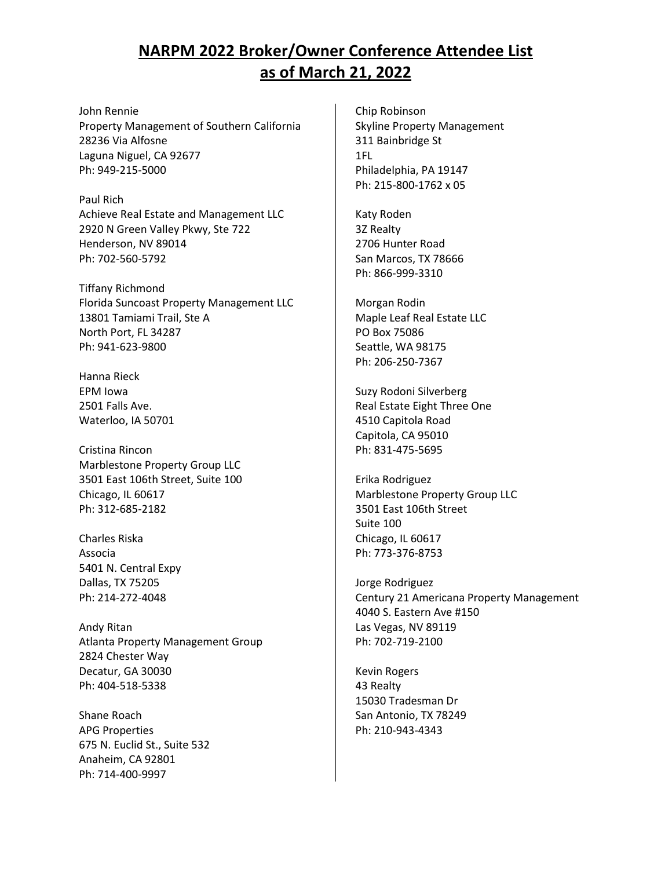John Rennie Property Management of Southern California 28236 Via Alfosne Laguna Niguel, CA 92677 Ph: 949-215-5000

Paul Rich Achieve Real Estate and Management LLC 2920 N Green Valley Pkwy, Ste 722 Henderson, NV 89014 Ph: 702-560-5792

Tiffany Richmond Florida Suncoast Property Management LLC 13801 Tamiami Trail, Ste A North Port, FL 34287 Ph: 941-623-9800

Hanna Rieck EPM Iowa 2501 Falls Ave. Waterloo, IA 50701

Cristina Rincon Marblestone Property Group LLC 3501 East 106th Street, Suite 100 Chicago, IL 60617 Ph: 312-685-2182

Charles Riska Associa 5401 N. Central Expy Dallas, TX 75205 Ph: 214-272-4048

Andy Ritan Atlanta Property Management Group 2824 Chester Way Decatur, GA 30030 Ph: 404-518-5338

Shane Roach APG Properties 675 N. Euclid St., Suite 532 Anaheim, CA 92801 Ph: 714-400-9997

Chip Robinson Skyline Property Management 311 Bainbridge St 1FL Philadelphia, PA 19147 Ph: 215-800-1762 x 05

Katy Roden 3Z Realty 2706 Hunter Road San Marcos, TX 78666 Ph: 866-999-3310

Morgan Rodin Maple Leaf Real Estate LLC PO Box 75086 Seattle, WA 98175 Ph: 206-250-7367

Suzy Rodoni Silverberg Real Estate Eight Three One 4510 Capitola Road Capitola, CA 95010 Ph: 831-475-5695

Erika Rodriguez Marblestone Property Group LLC 3501 East 106th Street Suite 100 Chicago, IL 60617 Ph: 773-376-8753

Jorge Rodriguez Century 21 Americana Property Management 4040 S. Eastern Ave #150 Las Vegas, NV 89119 Ph: 702-719-2100

Kevin Rogers 43 Realty 15030 Tradesman Dr San Antonio, TX 78249 Ph: 210-943-4343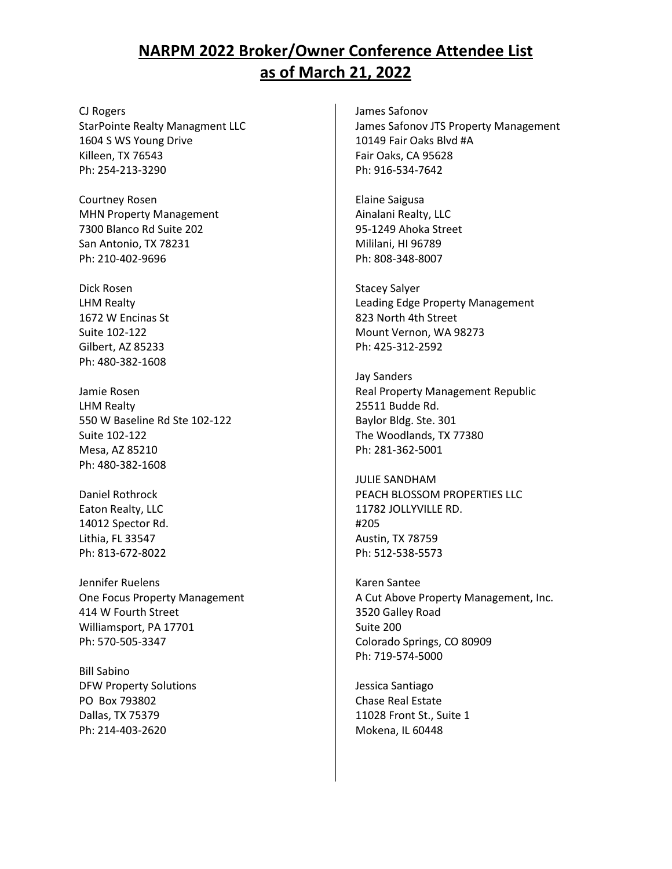CJ Rogers StarPointe Realty Managment LLC 1604 S WS Young Drive Killeen, TX 76543 Ph: 254-213-3290

Courtney Rosen MHN Property Management 7300 Blanco Rd Suite 202 San Antonio, TX 78231 Ph: 210-402-9696

Dick Rosen LHM Realty 1672 W Encinas St Suite 102-122 Gilbert, AZ 85233 Ph: 480-382-1608

Jamie Rosen LHM Realty 550 W Baseline Rd Ste 102-122 Suite 102-122 Mesa, AZ 85210 Ph: 480-382-1608

Daniel Rothrock Eaton Realty, LLC 14012 Spector Rd. Lithia, FL 33547 Ph: 813-672-8022

Jennifer Ruelens One Focus Property Management 414 W Fourth Street Williamsport, PA 17701 Ph: 570-505-3347

Bill Sabino DFW Property Solutions PO Box 793802 Dallas, TX 75379 Ph: 214-403-2620

James Safonov James Safonov JTS Property Management 10149 Fair Oaks Blvd #A Fair Oaks, CA 95628 Ph: 916-534-7642

Elaine Saigusa Ainalani Realty, LLC 95-1249 Ahoka Street Mililani, HI 96789 Ph: 808-348-8007

Stacey Salyer Leading Edge Property Management 823 North 4th Street Mount Vernon, WA 98273 Ph: 425-312-2592

Jay Sanders Real Property Management Republic 25511 Budde Rd. Baylor Bldg. Ste. 301 The Woodlands, TX 77380 Ph: 281-362-5001

JULIE SANDHAM PEACH BLOSSOM PROPERTIES LLC 11782 JOLLYVILLE RD. #205 Austin, TX 78759 Ph: 512-538-5573

Karen Santee A Cut Above Property Management, Inc. 3520 Galley Road Suite 200 Colorado Springs, CO 80909 Ph: 719-574-5000

Jessica Santiago Chase Real Estate 11028 Front St., Suite 1 Mokena, IL 60448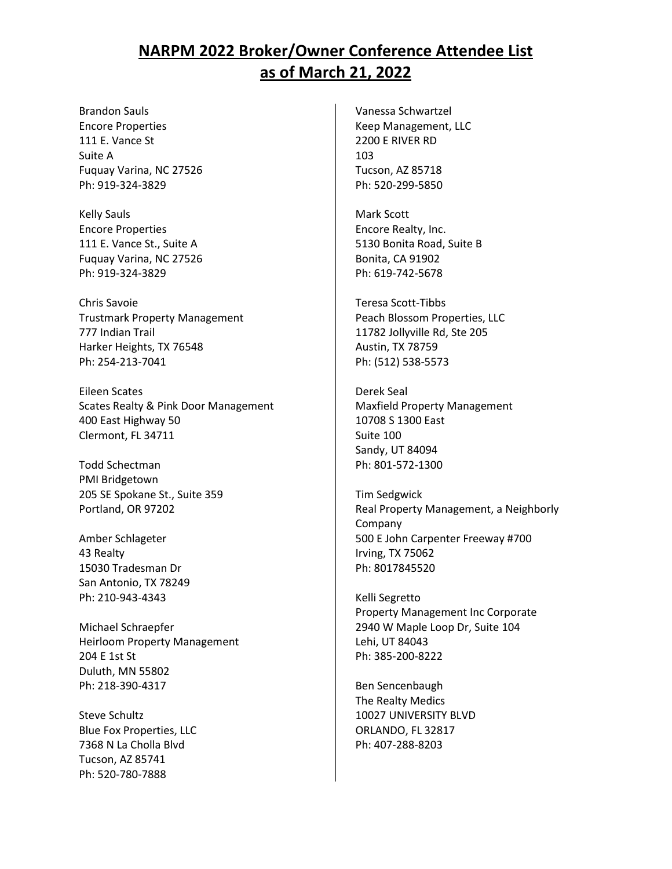Brandon Sauls Encore Properties 111 E. Vance St Suite A Fuquay Varina, NC 27526 Ph: 919-324-3829

Kelly Sauls Encore Properties 111 E. Vance St., Suite A Fuquay Varina, NC 27526 Ph: 919-324-3829

Chris Savoie Trustmark Property Management 777 Indian Trail Harker Heights, TX 76548 Ph: 254-213-7041

Eileen Scates Scates Realty & Pink Door Management 400 East Highway 50 Clermont, FL 34711

Todd Schectman PMI Bridgetown 205 SE Spokane St., Suite 359 Portland, OR 97202

Amber Schlageter 43 Realty 15030 Tradesman Dr San Antonio, TX 78249 Ph: 210-943-4343

Michael Schraepfer Heirloom Property Management 204 E 1st St Duluth, MN 55802 Ph: 218-390-4317

Steve Schultz Blue Fox Properties, LLC 7368 N La Cholla Blvd Tucson, AZ 85741 Ph: 520-780-7888

Vanessa Schwartzel Keep Management, LLC 2200 E RIVER RD 103 Tucson, AZ 85718 Ph: 520-299-5850

Mark Scott Encore Realty, Inc. 5130 Bonita Road, Suite B Bonita, CA 91902 Ph: 619-742-5678

Teresa Scott-Tibbs Peach Blossom Properties, LLC 11782 Jollyville Rd, Ste 205 Austin, TX 78759 Ph: (512) 538-5573

Derek Seal Maxfield Property Management 10708 S 1300 East Suite 100 Sandy, UT 84094 Ph: 801-572-1300

Tim Sedgwick Real Property Management, a Neighborly Company 500 E John Carpenter Freeway #700 Irving, TX 75062 Ph: 8017845520

Kelli Segretto Property Management Inc Corporate 2940 W Maple Loop Dr, Suite 104 Lehi, UT 84043 Ph: 385-200-8222

Ben Sencenbaugh The Realty Medics 10027 UNIVERSITY BLVD ORLANDO, FL 32817 Ph: 407-288-8203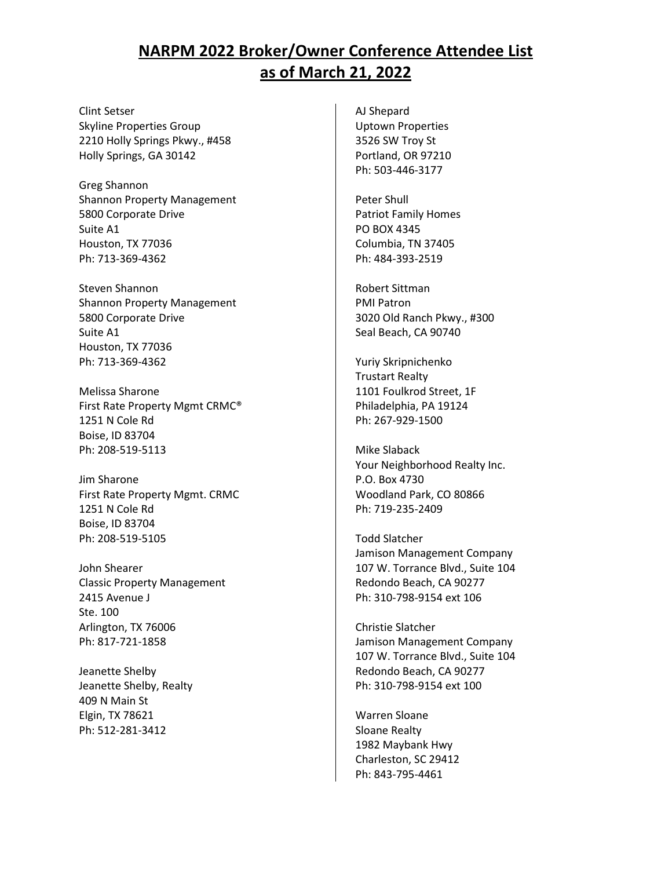Clint Setser Skyline Properties Group 2210 Holly Springs Pkwy., #458 Holly Springs, GA 30142

Greg Shannon Shannon Property Management 5800 Corporate Drive Suite A1 Houston, TX 77036 Ph: 713-369-4362

Steven Shannon Shannon Property Management 5800 Corporate Drive Suite A1 Houston, TX 77036 Ph: 713-369-4362

Melissa Sharone First Rate Property Mgmt CRMC® 1251 N Cole Rd Boise, ID 83704 Ph: 208-519-5113

Jim Sharone First Rate Property Mgmt. CRMC 1251 N Cole Rd Boise, ID 83704 Ph: 208-519-5105

John Shearer Classic Property Management 2415 Avenue J Ste. 100 Arlington, TX 76006 Ph: 817-721-1858

Jeanette Shelby Jeanette Shelby, Realty 409 N Main St Elgin, TX 78621 Ph: 512-281-3412

AJ Shepard Uptown Properties 3526 SW Troy St Portland, OR 97210 Ph: 503-446-3177

Peter Shull Patriot Family Homes PO BOX 4345 Columbia, TN 37405 Ph: 484-393-2519

Robert Sittman PMI Patron 3020 Old Ranch Pkwy., #300 Seal Beach, CA 90740

Yuriy Skripnichenko Trustart Realty 1101 Foulkrod Street, 1F Philadelphia, PA 19124 Ph: 267-929-1500

Mike Slaback Your Neighborhood Realty Inc. P.O. Box 4730 Woodland Park, CO 80866 Ph: 719-235-2409

Todd Slatcher Jamison Management Company 107 W. Torrance Blvd., Suite 104 Redondo Beach, CA 90277 Ph: 310-798-9154 ext 106

Christie Slatcher Jamison Management Company 107 W. Torrance Blvd., Suite 104 Redondo Beach, CA 90277 Ph: 310-798-9154 ext 100

Warren Sloane Sloane Realty 1982 Maybank Hwy Charleston, SC 29412 Ph: 843-795-4461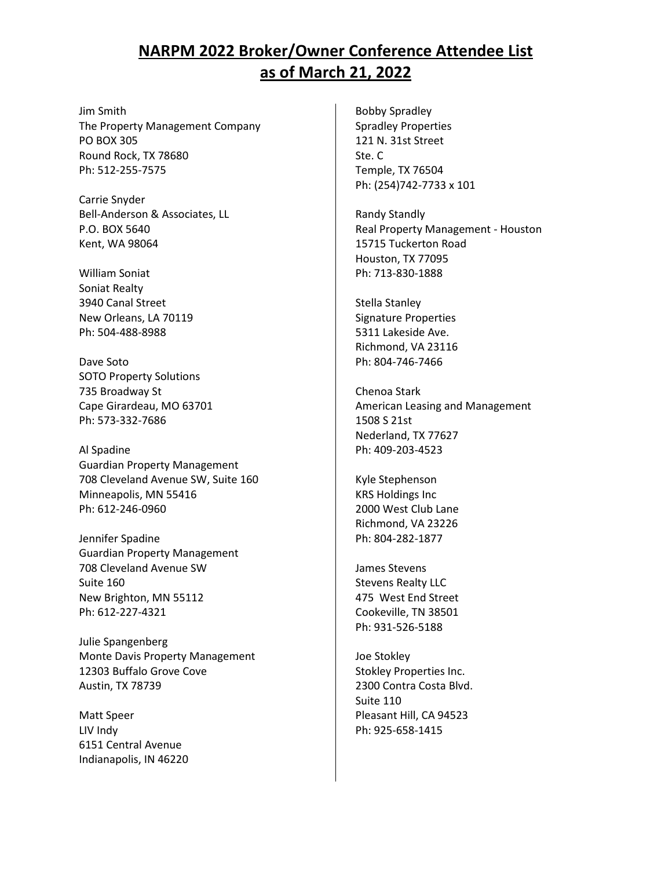Jim Smith The Property Management Company PO BOX 305 Round Rock, TX 78680 Ph: 512-255-7575

Carrie Snyder Bell-Anderson & Associates, LL P.O. BOX 5640 Kent, WA 98064

William Soniat Soniat Realty 3940 Canal Street New Orleans, LA 70119 Ph: 504-488-8988

Dave Soto SOTO Property Solutions 735 Broadway St Cape Girardeau, MO 63701 Ph: 573-332-7686

Al Spadine Guardian Property Management 708 Cleveland Avenue SW, Suite 160 Minneapolis, MN 55416 Ph: 612-246-0960

Jennifer Spadine Guardian Property Management 708 Cleveland Avenue SW Suite 160 New Brighton, MN 55112 Ph: 612-227-4321

Julie Spangenberg Monte Davis Property Management 12303 Buffalo Grove Cove Austin, TX 78739

Matt Speer LIV Indy 6151 Central Avenue Indianapolis, IN 46220

Bobby Spradley Spradley Properties 121 N. 31st Street Ste. C Temple, TX 76504 Ph: (254)742-7733 x 101

Randy Standly Real Property Management - Houston 15715 Tuckerton Road Houston, TX 77095 Ph: 713-830-1888

Stella Stanley Signature Properties 5311 Lakeside Ave. Richmond, VA 23116 Ph: 804-746-7466

Chenoa Stark American Leasing and Management 1508 S 21st Nederland, TX 77627 Ph: 409-203-4523

Kyle Stephenson KRS Holdings Inc 2000 West Club Lane Richmond, VA 23226 Ph: 804-282-1877

James Stevens Stevens Realty LLC 475 West End Street Cookeville, TN 38501 Ph: 931-526-5188

Joe Stokley Stokley Properties Inc. 2300 Contra Costa Blvd. Suite 110 Pleasant Hill, CA 94523 Ph: 925-658-1415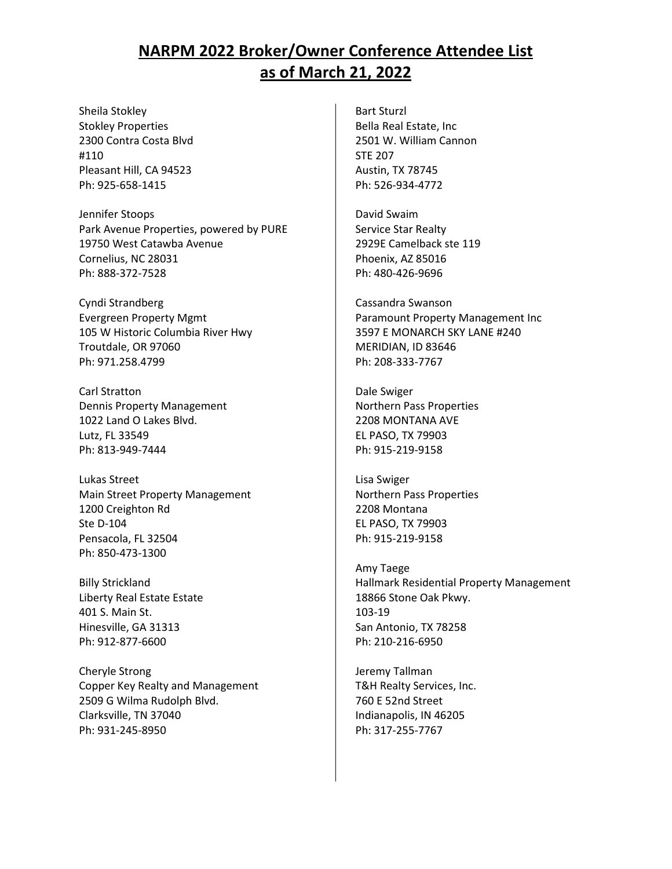Sheila Stokley Stokley Properties 2300 Contra Costa Blvd #110 Pleasant Hill, CA 94523 Ph: 925-658-1415

Jennifer Stoops Park Avenue Properties, powered by PURE 19750 West Catawba Avenue Cornelius, NC 28031 Ph: 888-372-7528

Cyndi Strandberg Evergreen Property Mgmt 105 W Historic Columbia River Hwy Troutdale, OR 97060 Ph: 971.258.4799

Carl Stratton Dennis Property Management 1022 Land O Lakes Blvd. Lutz, FL 33549 Ph: 813-949-7444

Lukas Street Main Street Property Management 1200 Creighton Rd Ste D-104 Pensacola, FL 32504 Ph: 850-473-1300

Billy Strickland Liberty Real Estate Estate 401 S. Main St. Hinesville, GA 31313 Ph: 912-877-6600

Cheryle Strong Copper Key Realty and Management 2509 G Wilma Rudolph Blvd. Clarksville, TN 37040 Ph: 931-245-8950

Bart Sturzl Bella Real Estate, Inc 2501 W. William Cannon STE 207 Austin, TX 78745 Ph: 526-934-4772

David Swaim Service Star Realty 2929E Camelback ste 119 Phoenix, AZ 85016 Ph: 480-426-9696

Cassandra Swanson Paramount Property Management Inc 3597 E MONARCH SKY LANE #240 MERIDIAN, ID 83646 Ph: 208-333-7767

Dale Swiger Northern Pass Properties 2208 MONTANA AVE EL PASO, TX 79903 Ph: 915-219-9158

Lisa Swiger Northern Pass Properties 2208 Montana EL PASO, TX 79903 Ph: 915-219-9158

Amy Taege Hallmark Residential Property Management 18866 Stone Oak Pkwy. 103-19 San Antonio, TX 78258 Ph: 210-216-6950

Jeremy Tallman T&H Realty Services, Inc. 760 E 52nd Street Indianapolis, IN 46205 Ph: 317-255-7767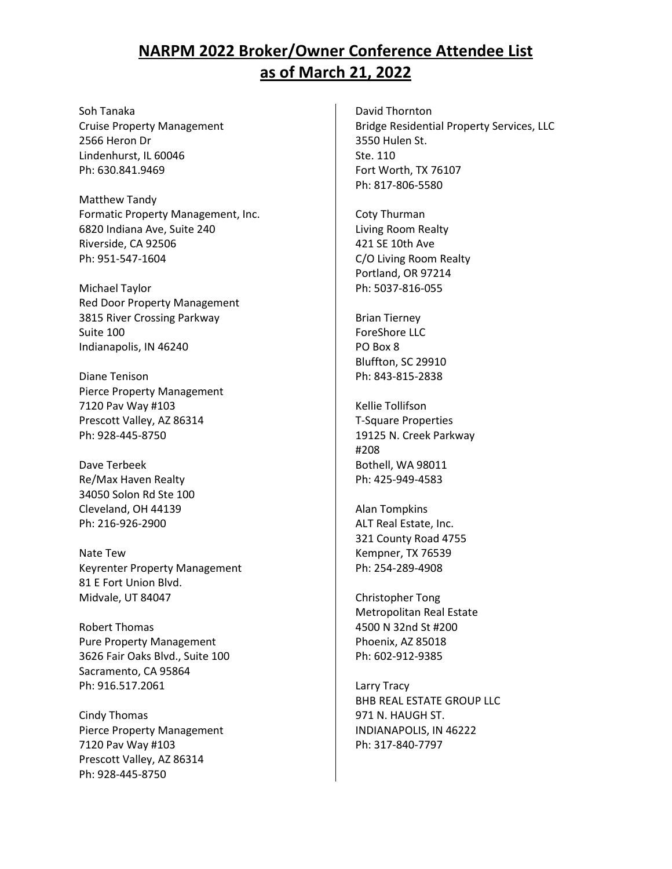Soh Tanaka Cruise Property Management 2566 Heron Dr Lindenhurst, IL 60046 Ph: 630.841.9469

Matthew Tandy Formatic Property Management, Inc. 6820 Indiana Ave, Suite 240 Riverside, CA 92506 Ph: 951-547-1604

Michael Taylor Red Door Property Management 3815 River Crossing Parkway Suite 100 Indianapolis, IN 46240

Diane Tenison Pierce Property Management 7120 Pav Way #103 Prescott Valley, AZ 86314 Ph: 928-445-8750

Dave Terbeek Re/Max Haven Realty 34050 Solon Rd Ste 100 Cleveland, OH 44139 Ph: 216-926-2900

Nate Tew Keyrenter Property Management 81 E Fort Union Blvd. Midvale, UT 84047

Robert Thomas Pure Property Management 3626 Fair Oaks Blvd., Suite 100 Sacramento, CA 95864 Ph: 916.517.2061

Cindy Thomas Pierce Property Management 7120 Pav Way #103 Prescott Valley, AZ 86314 Ph: 928-445-8750

David Thornton Bridge Residential Property Services, LLC 3550 Hulen St. Ste. 110 Fort Worth, TX 76107 Ph: 817-806-5580

Coty Thurman Living Room Realty 421 SE 10th Ave C/O Living Room Realty Portland, OR 97214 Ph: 5037-816-055

Brian Tierney ForeShore LLC PO Box 8 Bluffton, SC 29910 Ph: 843-815-2838

Kellie Tollifson T-Square Properties 19125 N. Creek Parkway #208 Bothell, WA 98011 Ph: 425-949-4583

Alan Tompkins ALT Real Estate, Inc. 321 County Road 4755 Kempner, TX 76539 Ph: 254-289-4908

Christopher Tong Metropolitan Real Estate 4500 N 32nd St #200 Phoenix, AZ 85018 Ph: 602-912-9385

Larry Tracy BHB REAL ESTATE GROUP LLC 971 N. HAUGH ST. INDIANAPOLIS, IN 46222 Ph: 317-840-7797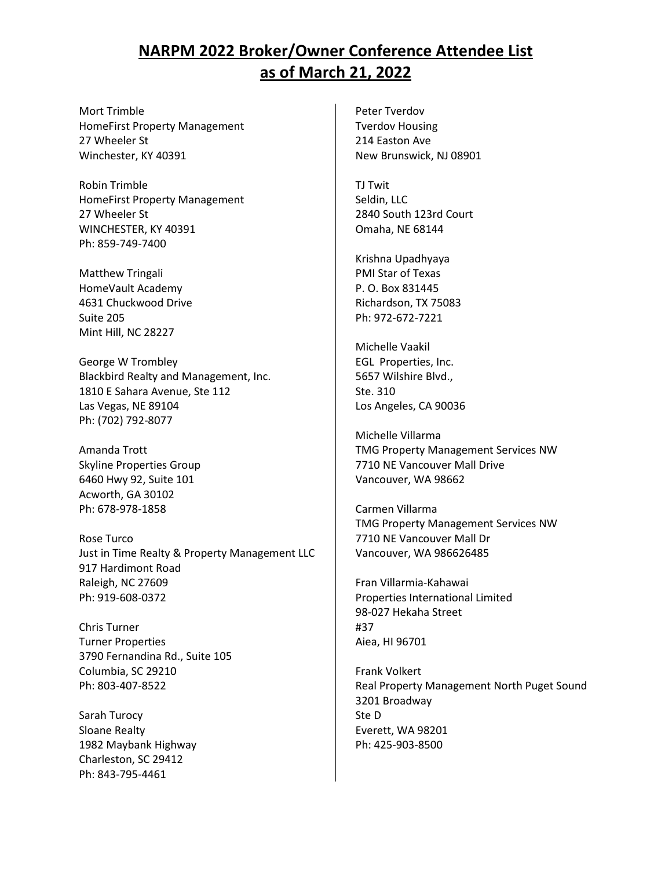Mort Trimble HomeFirst Property Management 27 Wheeler St Winchester, KY 40391

Robin Trimble HomeFirst Property Management 27 Wheeler St WINCHESTER, KY 40391 Ph: 859-749-7400

Matthew Tringali HomeVault Academy 4631 Chuckwood Drive Suite 205 Mint Hill, NC 28227

George W Trombley Blackbird Realty and Management, Inc. 1810 E Sahara Avenue, Ste 112 Las Vegas, NE 89104 Ph: (702) 792-8077

Amanda Trott Skyline Properties Group 6460 Hwy 92, Suite 101 Acworth, GA 30102 Ph: 678-978-1858

Rose Turco Just in Time Realty & Property Management LLC 917 Hardimont Road Raleigh, NC 27609 Ph: 919-608-0372

Chris Turner Turner Properties 3790 Fernandina Rd., Suite 105 Columbia, SC 29210 Ph: 803-407-8522

Sarah Turocy Sloane Realty 1982 Maybank Highway Charleston, SC 29412 Ph: 843-795-4461

Peter Tverdov Tverdov Housing 214 Easton Ave New Brunswick, NJ 08901

TJ Twit Seldin, LLC 2840 South 123rd Court Omaha, NE 68144

Krishna Upadhyaya PMI Star of Texas P. O. Box 831445 Richardson, TX 75083 Ph: 972-672-7221

Michelle Vaakil EGL Properties, Inc. 5657 Wilshire Blvd., Ste. 310 Los Angeles, CA 90036

Michelle Villarma TMG Property Management Services NW 7710 NE Vancouver Mall Drive Vancouver, WA 98662

Carmen Villarma TMG Property Management Services NW 7710 NE Vancouver Mall Dr Vancouver, WA 986626485

Fran Villarmia-Kahawai Properties International Limited 98-027 Hekaha Street #37 Aiea, HI 96701

Frank Volkert Real Property Management North Puget Sound 3201 Broadway Ste D Everett, WA 98201 Ph: 425-903-8500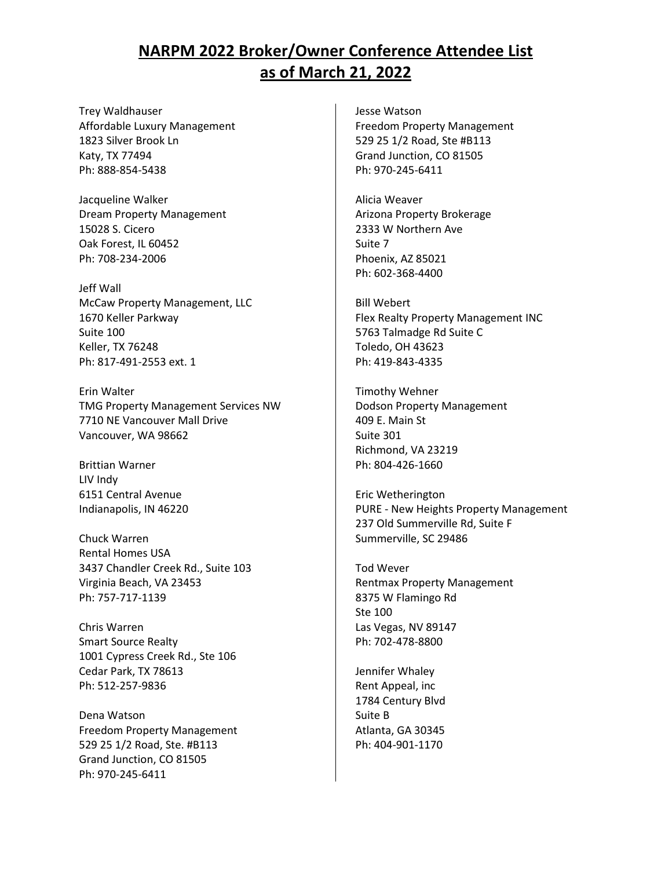Trey Waldhauser Affordable Luxury Management 1823 Silver Brook Ln Katy, TX 77494 Ph: 888-854-5438

Jacqueline Walker Dream Property Management 15028 S. Cicero Oak Forest, IL 60452 Ph: 708-234-2006

Jeff Wall McCaw Property Management, LLC 1670 Keller Parkway Suite 100 Keller, TX 76248 Ph: 817-491-2553 ext. 1

Erin Walter TMG Property Management Services NW 7710 NE Vancouver Mall Drive Vancouver, WA 98662

Brittian Warner LIV Indy 6151 Central Avenue Indianapolis, IN 46220

Chuck Warren Rental Homes USA 3437 Chandler Creek Rd., Suite 103 Virginia Beach, VA 23453 Ph: 757-717-1139

Chris Warren Smart Source Realty 1001 Cypress Creek Rd., Ste 106 Cedar Park, TX 78613 Ph: 512-257-9836

Dena Watson Freedom Property Management 529 25 1/2 Road, Ste. #B113 Grand Junction, CO 81505 Ph: 970-245-6411

Jesse Watson Freedom Property Management 529 25 1/2 Road, Ste #B113 Grand Junction, CO 81505 Ph: 970-245-6411

Alicia Weaver Arizona Property Brokerage 2333 W Northern Ave Suite 7 Phoenix, AZ 85021 Ph: 602-368-4400

Bill Webert Flex Realty Property Management INC 5763 Talmadge Rd Suite C Toledo, OH 43623 Ph: 419-843-4335

Timothy Wehner Dodson Property Management 409 E. Main St Suite 301 Richmond, VA 23219 Ph: 804-426-1660

Eric Wetherington PURE - New Heights Property Management 237 Old Summerville Rd, Suite F Summerville, SC 29486

Tod Wever Rentmax Property Management 8375 W Flamingo Rd Ste 100 Las Vegas, NV 89147 Ph: 702-478-8800

Jennifer Whaley Rent Appeal, inc 1784 Century Blvd Suite B Atlanta, GA 30345 Ph: 404-901-1170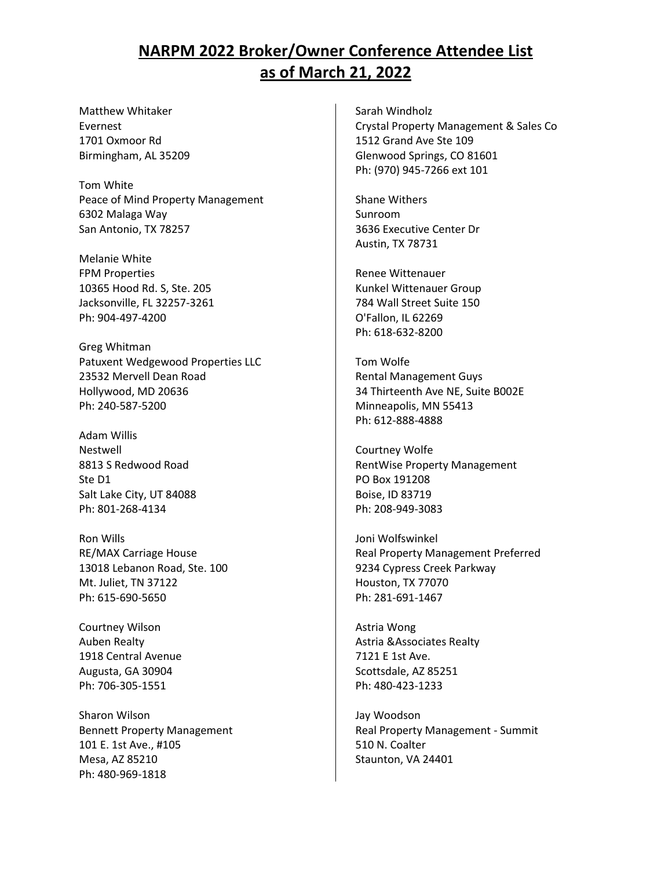Matthew Whitaker Evernest 1701 Oxmoor Rd Birmingham, AL 35209

Tom White Peace of Mind Property Management 6302 Malaga Way San Antonio, TX 78257

Melanie White FPM Properties 10365 Hood Rd. S, Ste. 205 Jacksonville, FL 32257-3261 Ph: 904-497-4200

Greg Whitman Patuxent Wedgewood Properties LLC 23532 Mervell Dean Road Hollywood, MD 20636 Ph: 240-587-5200

Adam Willis Nestwell 8813 S Redwood Road Ste D1 Salt Lake City, UT 84088 Ph: 801-268-4134

Ron Wills RE/MAX Carriage House 13018 Lebanon Road, Ste. 100 Mt. Juliet, TN 37122 Ph: 615-690-5650

Courtney Wilson Auben Realty 1918 Central Avenue Augusta, GA 30904 Ph: 706-305-1551

Sharon Wilson Bennett Property Management 101 E. 1st Ave., #105 Mesa, AZ 85210 Ph: 480-969-1818

Sarah Windholz Crystal Property Management & Sales Co 1512 Grand Ave Ste 109 Glenwood Springs, CO 81601 Ph: (970) 945-7266 ext 101

Shane Withers Sunroom 3636 Executive Center Dr Austin, TX 78731

Renee Wittenauer Kunkel Wittenauer Group 784 Wall Street Suite 150 O'Fallon, IL 62269 Ph: 618-632-8200

Tom Wolfe Rental Management Guys 34 Thirteenth Ave NE, Suite B002E Minneapolis, MN 55413 Ph: 612-888-4888

Courtney Wolfe RentWise Property Management PO Box 191208 Boise, ID 83719 Ph: 208-949-3083

Joni Wolfswinkel Real Property Management Preferred 9234 Cypress Creek Parkway Houston, TX 77070 Ph: 281-691-1467

Astria Wong Astria &Associates Realty 7121 E 1st Ave. Scottsdale, AZ 85251 Ph: 480-423-1233

Jay Woodson Real Property Management - Summit 510 N. Coalter Staunton, VA 24401